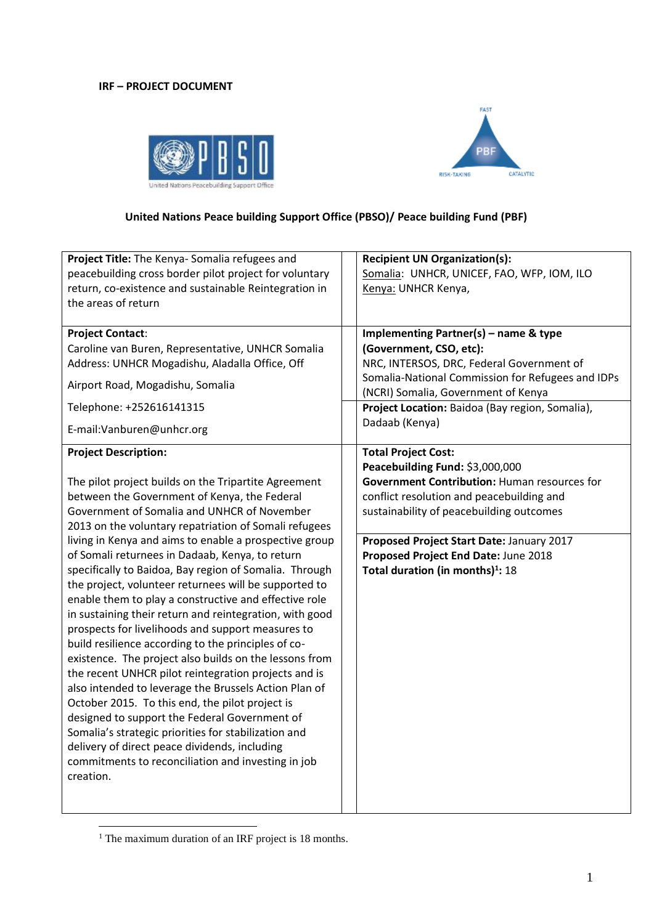### **IRF – PROJECT DOCUMENT**





# **United Nations Peace building Support Office (PBSO)/ Peace building Fund (PBF)**

| Project Title: The Kenya- Somalia refugees and                                                                                                                                                                                                                                                                                                                                                                                                                                                                                                                                                                                                                                                                                                                                                                                                                                                                                                                                                                                                                                                                                                                         | <b>Recipient UN Organization(s):</b>                                                                                                                                                                                                                                                                                                               |  |  |  |
|------------------------------------------------------------------------------------------------------------------------------------------------------------------------------------------------------------------------------------------------------------------------------------------------------------------------------------------------------------------------------------------------------------------------------------------------------------------------------------------------------------------------------------------------------------------------------------------------------------------------------------------------------------------------------------------------------------------------------------------------------------------------------------------------------------------------------------------------------------------------------------------------------------------------------------------------------------------------------------------------------------------------------------------------------------------------------------------------------------------------------------------------------------------------|----------------------------------------------------------------------------------------------------------------------------------------------------------------------------------------------------------------------------------------------------------------------------------------------------------------------------------------------------|--|--|--|
| peacebuilding cross border pilot project for voluntary                                                                                                                                                                                                                                                                                                                                                                                                                                                                                                                                                                                                                                                                                                                                                                                                                                                                                                                                                                                                                                                                                                                 | Somalia: UNHCR, UNICEF, FAO, WFP, IOM, ILO                                                                                                                                                                                                                                                                                                         |  |  |  |
| return, co-existence and sustainable Reintegration in                                                                                                                                                                                                                                                                                                                                                                                                                                                                                                                                                                                                                                                                                                                                                                                                                                                                                                                                                                                                                                                                                                                  | Kenya: UNHCR Kenya,                                                                                                                                                                                                                                                                                                                                |  |  |  |
| the areas of return                                                                                                                                                                                                                                                                                                                                                                                                                                                                                                                                                                                                                                                                                                                                                                                                                                                                                                                                                                                                                                                                                                                                                    | Implementing Partner(s) - name & type                                                                                                                                                                                                                                                                                                              |  |  |  |
| <b>Project Contact:</b>                                                                                                                                                                                                                                                                                                                                                                                                                                                                                                                                                                                                                                                                                                                                                                                                                                                                                                                                                                                                                                                                                                                                                | (Government, CSO, etc):                                                                                                                                                                                                                                                                                                                            |  |  |  |
| Caroline van Buren, Representative, UNHCR Somalia                                                                                                                                                                                                                                                                                                                                                                                                                                                                                                                                                                                                                                                                                                                                                                                                                                                                                                                                                                                                                                                                                                                      | NRC, INTERSOS, DRC, Federal Government of                                                                                                                                                                                                                                                                                                          |  |  |  |
| Address: UNHCR Mogadishu, Aladalla Office, Off                                                                                                                                                                                                                                                                                                                                                                                                                                                                                                                                                                                                                                                                                                                                                                                                                                                                                                                                                                                                                                                                                                                         | Somalia-National Commission for Refugees and IDPs                                                                                                                                                                                                                                                                                                  |  |  |  |
| Airport Road, Mogadishu, Somalia                                                                                                                                                                                                                                                                                                                                                                                                                                                                                                                                                                                                                                                                                                                                                                                                                                                                                                                                                                                                                                                                                                                                       | (NCRI) Somalia, Government of Kenya                                                                                                                                                                                                                                                                                                                |  |  |  |
| Telephone: +252616141315                                                                                                                                                                                                                                                                                                                                                                                                                                                                                                                                                                                                                                                                                                                                                                                                                                                                                                                                                                                                                                                                                                                                               | Project Location: Baidoa (Bay region, Somalia),                                                                                                                                                                                                                                                                                                    |  |  |  |
| E-mail:Vanburen@unhcr.org                                                                                                                                                                                                                                                                                                                                                                                                                                                                                                                                                                                                                                                                                                                                                                                                                                                                                                                                                                                                                                                                                                                                              | Dadaab (Kenya)                                                                                                                                                                                                                                                                                                                                     |  |  |  |
| <b>Project Description:</b><br>The pilot project builds on the Tripartite Agreement<br>between the Government of Kenya, the Federal<br>Government of Somalia and UNHCR of November<br>2013 on the voluntary repatriation of Somali refugees<br>living in Kenya and aims to enable a prospective group<br>of Somali returnees in Dadaab, Kenya, to return<br>specifically to Baidoa, Bay region of Somalia. Through<br>the project, volunteer returnees will be supported to<br>enable them to play a constructive and effective role<br>in sustaining their return and reintegration, with good<br>prospects for livelihoods and support measures to<br>build resilience according to the principles of co-<br>existence. The project also builds on the lessons from<br>the recent UNHCR pilot reintegration projects and is<br>also intended to leverage the Brussels Action Plan of<br>October 2015. To this end, the pilot project is<br>designed to support the Federal Government of<br>Somalia's strategic priorities for stabilization and<br>delivery of direct peace dividends, including<br>commitments to reconciliation and investing in job<br>creation. | <b>Total Project Cost:</b><br>Peacebuilding Fund: \$3,000,000<br><b>Government Contribution: Human resources for</b><br>conflict resolution and peacebuilding and<br>sustainability of peacebuilding outcomes<br>Proposed Project Start Date: January 2017<br>Proposed Project End Date: June 2018<br>Total duration (in months) <sup>1</sup> : 18 |  |  |  |

<sup>1</sup> <sup>1</sup> The maximum duration of an IRF project is 18 months.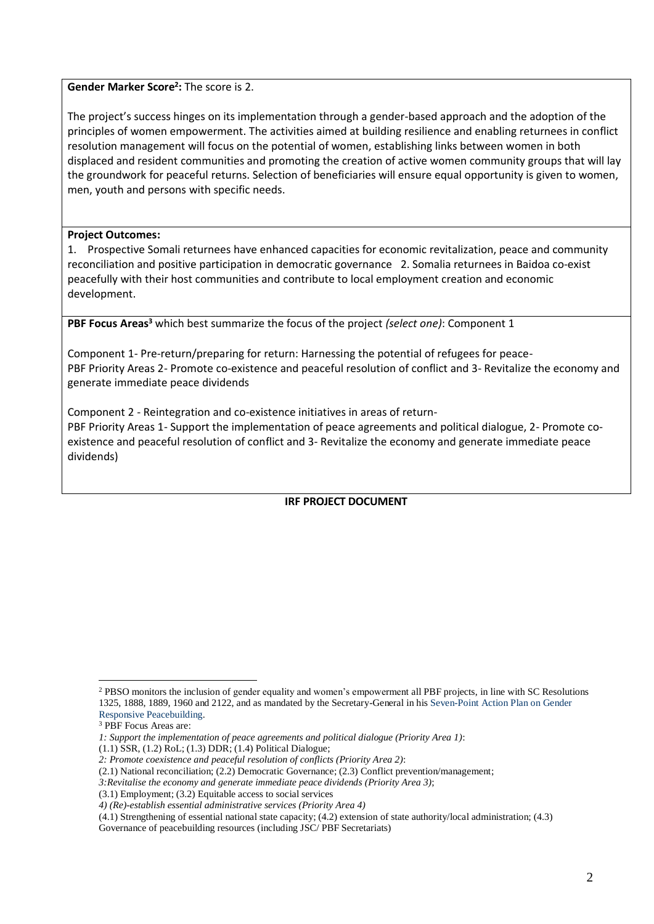**Gender Marker Score<sup>2</sup> :** The score is 2.

The project's success hinges on its implementation through a gender-based approach and the adoption of the principles of women empowerment. The activities aimed at building resilience and enabling returnees in conflict resolution management will focus on the potential of women, establishing links between women in both displaced and resident communities and promoting the creation of active women community groups that will lay the groundwork for peaceful returns. Selection of beneficiaries will ensure equal opportunity is given to women, men, youth and persons with specific needs.

### **Project Outcomes:**

1. Prospective Somali returnees have enhanced capacities for economic revitalization, peace and community reconciliation and positive participation in democratic governance 2. Somalia returnees in Baidoa co-exist peacefully with their host communities and contribute to local employment creation and economic development.

**PBF Focus Areas<sup>3</sup>** which best summarize the focus of the project *(select one)*: Component 1

Component 1- Pre-return/preparing for return: Harnessing the potential of refugees for peace-PBF Priority Areas 2- Promote co-existence and peaceful resolution of conflict and 3- Revitalize the economy and generate immediate peace dividends

Component 2 - Reintegration and co-existence initiatives in areas of return-PBF Priority Areas 1- Support the implementation of peace agreements and political dialogue, 2- Promote coexistence and peaceful resolution of conflict and 3- Revitalize the economy and generate immediate peace dividends)

**IRF PROJECT DOCUMENT** 

<sup>1</sup> <sup>2</sup> PBSO monitors the inclusion of gender equality and women's empowerment all PBF projects, in line with SC Resolutions 1325, 1888, 1889, 1960 and 2122, and as mandated by the Secretary-General in his [Seven-Point Action Plan on Gender](http://www.un.org/en/peacebuilding/pbso/pdf/seven_point_action_plan.pdf)  [Responsive Peacebuilding.](http://www.un.org/en/peacebuilding/pbso/pdf/seven_point_action_plan.pdf)

<sup>3</sup> PBF Focus Areas are:

*<sup>1:</sup> Support the implementation of peace agreements and political dialogue (Priority Area 1)*:

<sup>(1.1)</sup> SSR, (1.2) RoL; (1.3) DDR; (1.4) Political Dialogue;

*<sup>2:</sup> Promote coexistence and peaceful resolution of conflicts (Priority Area 2)*:

<sup>(2.1)</sup> National reconciliation; (2.2) Democratic Governance; (2.3) Conflict prevention/management;

*<sup>3:</sup>Revitalise the economy and generate immediate peace dividends (Priority Area 3)*;

<sup>(3.1)</sup> Employment; (3.2) Equitable access to social services

*<sup>4)</sup> (Re)-establish essential administrative services (Priority Area 4)*

<sup>(4.1)</sup> Strengthening of essential national state capacity; (4.2) extension of state authority/local administration; (4.3)

Governance of peacebuilding resources (including JSC/ PBF Secretariats)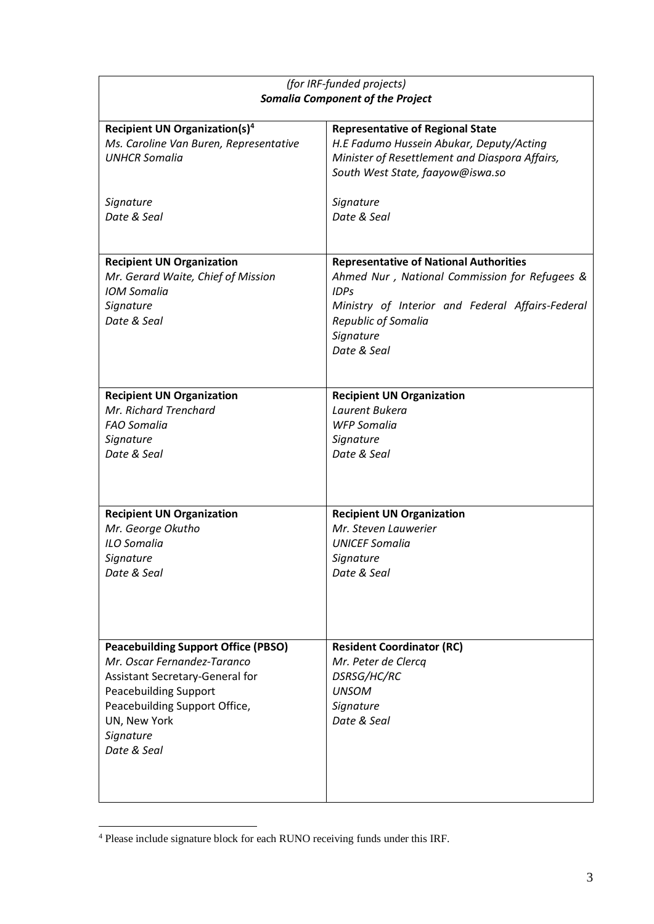| (for IRF-funded projects)                  |                                                  |  |  |  |  |
|--------------------------------------------|--------------------------------------------------|--|--|--|--|
| <b>Somalia Component of the Project</b>    |                                                  |  |  |  |  |
|                                            |                                                  |  |  |  |  |
| <b>Recipient UN Organization(s)4</b>       | <b>Representative of Regional State</b>          |  |  |  |  |
| Ms. Caroline Van Buren, Representative     | H.E Fadumo Hussein Abukar, Deputy/Acting         |  |  |  |  |
| <b>UNHCR Somalia</b>                       | Minister of Resettlement and Diaspora Affairs,   |  |  |  |  |
|                                            | South West State, faayow@iswa.so                 |  |  |  |  |
|                                            |                                                  |  |  |  |  |
| Signature                                  | Signature                                        |  |  |  |  |
| Date & Seal                                | Date & Seal                                      |  |  |  |  |
|                                            |                                                  |  |  |  |  |
|                                            |                                                  |  |  |  |  |
| <b>Recipient UN Organization</b>           | <b>Representative of National Authorities</b>    |  |  |  |  |
| Mr. Gerard Waite, Chief of Mission         | Ahmed Nur, National Commission for Refugees &    |  |  |  |  |
| <b>IOM Somalia</b>                         | <b>IDPs</b>                                      |  |  |  |  |
| Signature                                  | Ministry of Interior and Federal Affairs-Federal |  |  |  |  |
| Date & Seal                                | <b>Republic of Somalia</b>                       |  |  |  |  |
|                                            | Signature                                        |  |  |  |  |
|                                            | Date & Seal                                      |  |  |  |  |
|                                            |                                                  |  |  |  |  |
|                                            |                                                  |  |  |  |  |
| <b>Recipient UN Organization</b>           | <b>Recipient UN Organization</b>                 |  |  |  |  |
| Mr. Richard Trenchard                      | Laurent Bukera                                   |  |  |  |  |
| <b>FAO Somalia</b>                         | <b>WFP Somalia</b>                               |  |  |  |  |
| Signature                                  | Signature                                        |  |  |  |  |
| Date & Seal                                | Date & Seal                                      |  |  |  |  |
|                                            |                                                  |  |  |  |  |
|                                            |                                                  |  |  |  |  |
| <b>Recipient UN Organization</b>           | <b>Recipient UN Organization</b>                 |  |  |  |  |
| Mr. George Okutho                          | Mr. Steven Lauwerier                             |  |  |  |  |
| <b>ILO Somalia</b>                         | <b>UNICEF Somalia</b>                            |  |  |  |  |
| Signature                                  | Signature                                        |  |  |  |  |
| Date & Seal                                | Date & Seal                                      |  |  |  |  |
|                                            |                                                  |  |  |  |  |
|                                            |                                                  |  |  |  |  |
|                                            |                                                  |  |  |  |  |
|                                            |                                                  |  |  |  |  |
| <b>Peacebuilding Support Office (PBSO)</b> | <b>Resident Coordinator (RC)</b>                 |  |  |  |  |
| Mr. Oscar Fernandez-Taranco                | Mr. Peter de Clercq                              |  |  |  |  |
| Assistant Secretary-General for            | DSRSG/HC/RC                                      |  |  |  |  |
| <b>Peacebuilding Support</b>               | <b>UNSOM</b>                                     |  |  |  |  |
| Peacebuilding Support Office,              | Signature                                        |  |  |  |  |
| UN, New York                               | Date & Seal                                      |  |  |  |  |
| Signature                                  |                                                  |  |  |  |  |
| Date & Seal                                |                                                  |  |  |  |  |
|                                            |                                                  |  |  |  |  |
|                                            |                                                  |  |  |  |  |
|                                            |                                                  |  |  |  |  |

<sup>&</sup>lt;sup>4</sup> Please include signature block for each RUNO receiving funds under this IRF.

1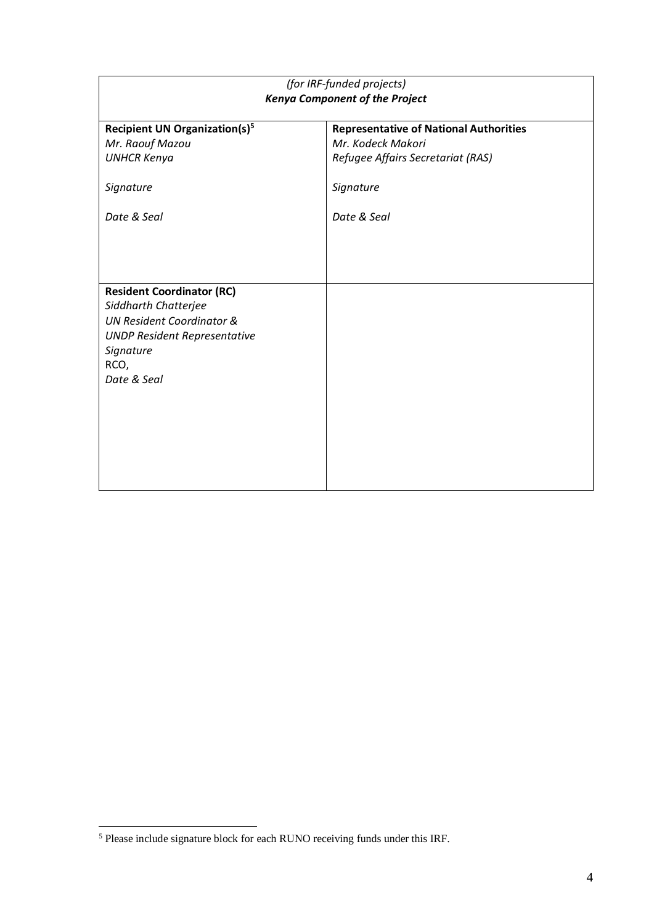| (for IRF-funded projects)<br><b>Kenya Component of the Project</b>                                                                                                          |                                                                                                                                     |  |  |  |  |
|-----------------------------------------------------------------------------------------------------------------------------------------------------------------------------|-------------------------------------------------------------------------------------------------------------------------------------|--|--|--|--|
| <b>Recipient UN Organization(s)<sup>5</sup></b><br>Mr. Raouf Mazou<br><b>UNHCR Kenya</b><br>Signature<br>Date & Seal                                                        | <b>Representative of National Authorities</b><br>Mr. Kodeck Makori<br>Refugee Affairs Secretariat (RAS)<br>Signature<br>Date & Seal |  |  |  |  |
| <b>Resident Coordinator (RC)</b><br>Siddharth Chatterjee<br><b>UN Resident Coordinator &amp;</b><br><b>UNDP Resident Representative</b><br>Signature<br>RCO,<br>Date & Seal |                                                                                                                                     |  |  |  |  |

1

<sup>&</sup>lt;sup>5</sup> Please include signature block for each RUNO receiving funds under this IRF.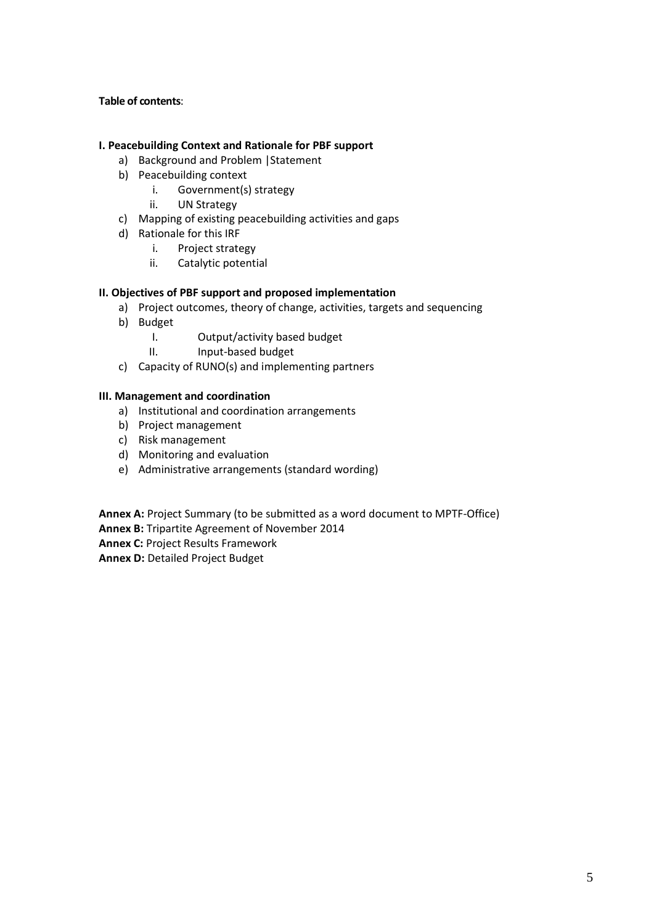### **Table of contents**:

### **I. Peacebuilding Context and Rationale for PBF support**

- a) Background and Problem |Statement
- b) Peacebuilding context
	- i. Government(s) strategy
	- ii. UN Strategy
- c) Mapping of existing peacebuilding activities and gaps
- d) Rationale for this IRF
	- i. Project strategy
	- ii. Catalytic potential

#### **II. Objectives of PBF support and proposed implementation**

- a) Project outcomes, theory of change, activities, targets and sequencing
- b) Budget
	- I. Output/activity based budget
	- II. Input-based budget
- c) Capacity of RUNO(s) and implementing partners

#### **III. Management and coordination**

- a) Institutional and coordination arrangements
- b) Project management
- c) Risk management
- d) Monitoring and evaluation
- e) Administrative arrangements (standard wording)

**Annex A:** Project Summary (to be submitted as a word document to MPTF-Office)

**Annex B:** Tripartite Agreement of November 2014

**Annex C:** Project Results Framework

**Annex D:** Detailed Project Budget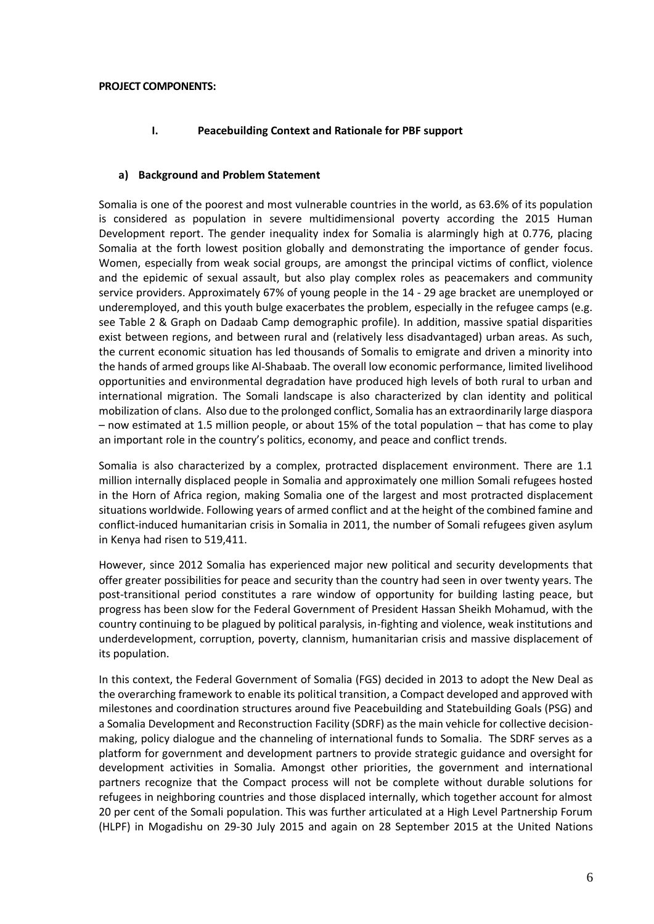### **I. Peacebuilding Context and Rationale for PBF support**

#### **a) Background and Problem Statement**

Somalia is one of the poorest and most vulnerable countries in the world, as 63.6% of its population is considered as population in severe multidimensional poverty according the 2015 Human Development report. The gender inequality index for Somalia is alarmingly high at 0.776, placing Somalia at the forth lowest position globally and demonstrating the importance of gender focus. Women, especially from weak social groups, are amongst the principal victims of conflict, violence and the epidemic of sexual assault, but also play complex roles as peacemakers and community service providers. Approximately 67% of young people in the 14 - 29 age bracket are unemployed or underemployed, and this youth bulge exacerbates the problem, especially in the refugee camps (e.g. see Table 2 & Graph on Dadaab Camp demographic profile). In addition, massive spatial disparities exist between regions, and between rural and (relatively less disadvantaged) urban areas. As such, the current economic situation has led thousands of Somalis to emigrate and driven a minority into the hands of armed groups like Al-Shabaab. The overall low economic performance, limited livelihood opportunities and environmental degradation have produced high levels of both rural to urban and international migration. The Somali landscape is also characterized by clan identity and political mobilization of clans. Also due to the prolonged conflict, Somalia has an extraordinarily large diaspora – now estimated at 1.5 million people, or about 15% of the total population – that has come to play an important role in the country's politics, economy, and peace and conflict trends.

Somalia is also characterized by a complex, protracted displacement environment. There are 1.1 million internally displaced people in Somalia and approximately one million Somali refugees hosted in the Horn of Africa region, making Somalia one of the largest and most protracted displacement situations worldwide. Following years of armed conflict and at the height of the combined famine and conflict-induced humanitarian crisis in Somalia in 2011, the number of Somali refugees given asylum in Kenya had risen to 519,411.

However, since 2012 Somalia has experienced major new political and security developments that offer greater possibilities for peace and security than the country had seen in over twenty years. The post-transitional period constitutes a rare window of opportunity for building lasting peace, but progress has been slow for the Federal Government of President Hassan Sheikh Mohamud, with the country continuing to be plagued by political paralysis, in-fighting and violence, weak institutions and underdevelopment, corruption, poverty, clannism, humanitarian crisis and massive displacement of its population.

In this context, the Federal Government of Somalia (FGS) decided in 2013 to adopt the New Deal as the overarching framework to enable its political transition, a Compact developed and approved with milestones and coordination structures around five Peacebuilding and Statebuilding Goals (PSG) and a Somalia Development and Reconstruction Facility (SDRF) as the main vehicle for collective decisionmaking, policy dialogue and the channeling of international funds to Somalia. The SDRF serves as a platform for government and development partners to provide strategic guidance and oversight for development activities in Somalia. Amongst other priorities, the government and international partners recognize that the Compact process will not be complete without durable solutions for refugees in neighboring countries and those displaced internally, which together account for almost 20 per cent of the Somali population. This was further articulated at a High Level Partnership Forum (HLPF) in Mogadishu on 29-30 July 2015 and again on 28 September 2015 at the United Nations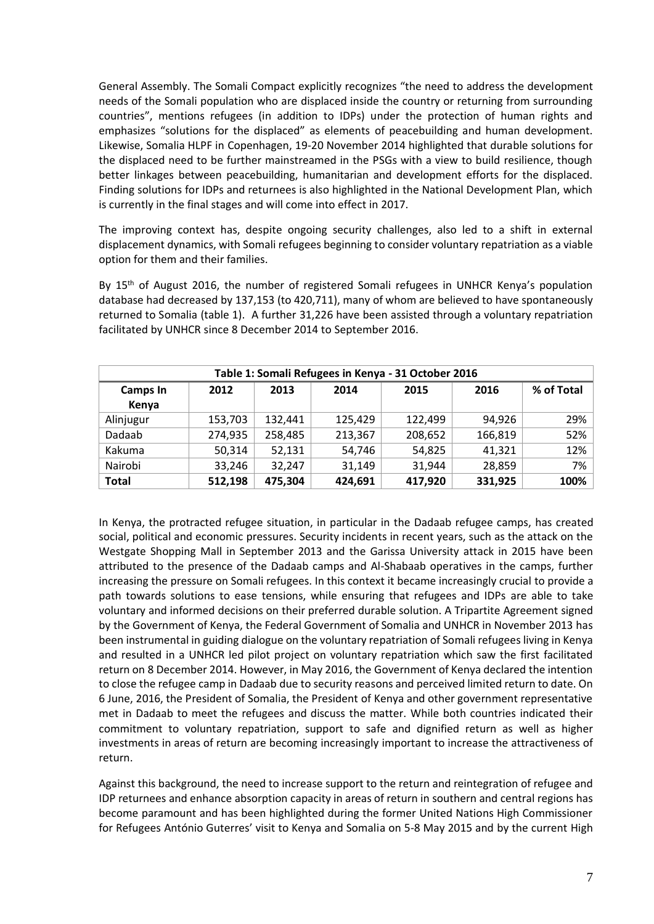General Assembly. The Somali Compact explicitly recognizes "the need to address the development needs of the Somali population who are displaced inside the country or returning from surrounding countries", mentions refugees (in addition to IDPs) under the protection of human rights and emphasizes "solutions for the displaced" as elements of peacebuilding and human development. Likewise, Somalia HLPF in Copenhagen, 19-20 November 2014 highlighted that durable solutions for the displaced need to be further mainstreamed in the PSGs with a view to build resilience, though better linkages between peacebuilding, humanitarian and development efforts for the displaced. Finding solutions for IDPs and returnees is also highlighted in the National Development Plan, which is currently in the final stages and will come into effect in 2017.

The improving context has, despite ongoing security challenges, also led to a shift in external displacement dynamics, with Somali refugees beginning to consider voluntary repatriation as a viable option for them and their families.

By 15<sup>th</sup> of August 2016, the number of registered Somali refugees in UNHCR Kenya's population database had decreased by 137,153 (to 420,711), many of whom are believed to have spontaneously returned to Somalia (table 1). A further 31,226 have been assisted through a voluntary repatriation facilitated by UNHCR since 8 December 2014 to September 2016.

| Table 1: Somali Refugees in Kenya - 31 October 2016                            |         |         |         |         |         |      |  |  |  |  |
|--------------------------------------------------------------------------------|---------|---------|---------|---------|---------|------|--|--|--|--|
| % of Total<br>2016<br>2012<br>2014<br>2013<br><b>Camps In</b><br>2015<br>Kenya |         |         |         |         |         |      |  |  |  |  |
|                                                                                |         |         |         |         |         |      |  |  |  |  |
| Alinjugur                                                                      | 153,703 | 132,441 | 125,429 | 122,499 | 94,926  | 29%  |  |  |  |  |
| Dadaab                                                                         | 274,935 | 258,485 | 213,367 | 208,652 | 166,819 | 52%  |  |  |  |  |
| Kakuma                                                                         | 50,314  | 52,131  | 54,746  | 54,825  | 41,321  | 12%  |  |  |  |  |
| Nairobi                                                                        | 33,246  | 32,247  | 31,149  | 31,944  | 28,859  | 7%   |  |  |  |  |
| <b>Total</b>                                                                   | 512,198 | 475,304 | 424,691 | 417,920 | 331,925 | 100% |  |  |  |  |

In Kenya, the protracted refugee situation, in particular in the Dadaab refugee camps, has created social, political and economic pressures. Security incidents in recent years, such as the attack on the Westgate Shopping Mall in September 2013 and the Garissa University attack in 2015 have been attributed to the presence of the Dadaab camps and Al-Shabaab operatives in the camps, further increasing the pressure on Somali refugees. In this context it became increasingly crucial to provide a path towards solutions to ease tensions, while ensuring that refugees and IDPs are able to take voluntary and informed decisions on their preferred durable solution. A Tripartite Agreement signed by the Government of Kenya, the Federal Government of Somalia and UNHCR in November 2013 has been instrumental in guiding dialogue on the voluntary repatriation of Somali refugees living in Kenya and resulted in a UNHCR led pilot project on voluntary repatriation which saw the first facilitated return on 8 December 2014. However, in May 2016, the Government of Kenya declared the intention to close the refugee camp in Dadaab due to security reasons and perceived limited return to date. On 6 June, 2016, the President of Somalia, the President of Kenya and other government representative met in Dadaab to meet the refugees and discuss the matter. While both countries indicated their commitment to voluntary repatriation, support to safe and dignified return as well as higher investments in areas of return are becoming increasingly important to increase the attractiveness of return.

Against this background, the need to increase support to the return and reintegration of refugee and IDP returnees and enhance absorption capacity in areas of return in southern and central regions has become paramount and has been highlighted during the former United Nations High Commissioner for Refugees António Guterres' visit to Kenya and Somalia on 5-8 May 2015 and by the current High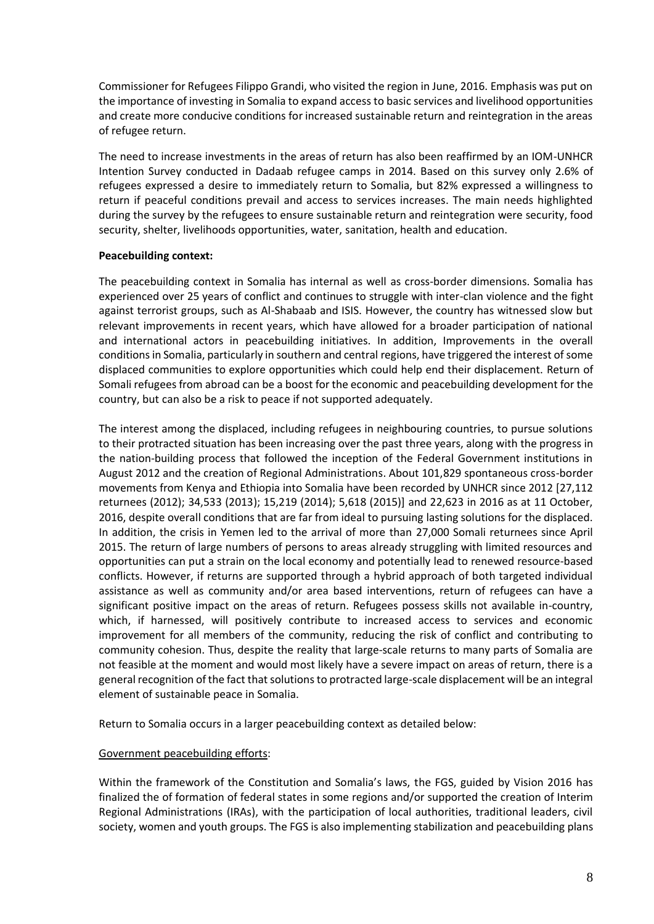Commissioner for Refugees Filippo Grandi, who visited the region in June, 2016. Emphasis was put on the importance of investing in Somalia to expand access to basic services and livelihood opportunities and create more conducive conditions for increased sustainable return and reintegration in the areas of refugee return.

The need to increase investments in the areas of return has also been reaffirmed by an IOM-UNHCR Intention Survey conducted in Dadaab refugee camps in 2014. Based on this survey only 2.6% of refugees expressed a desire to immediately return to Somalia, but 82% expressed a willingness to return if peaceful conditions prevail and access to services increases. The main needs highlighted during the survey by the refugees to ensure sustainable return and reintegration were security, food security, shelter, livelihoods opportunities, water, sanitation, health and education.

#### **Peacebuilding context:**

The peacebuilding context in Somalia has internal as well as cross-border dimensions. Somalia has experienced over 25 years of conflict and continues to struggle with inter-clan violence and the fight against terrorist groups, such as Al-Shabaab and ISIS. However, the country has witnessed slow but relevant improvements in recent years, which have allowed for a broader participation of national and international actors in peacebuilding initiatives. In addition, Improvements in the overall conditions in Somalia, particularly in southern and central regions, have triggered the interest of some displaced communities to explore opportunities which could help end their displacement. Return of Somali refugees from abroad can be a boost for the economic and peacebuilding development for the country, but can also be a risk to peace if not supported adequately.

The interest among the displaced, including refugees in neighbouring countries, to pursue solutions to their protracted situation has been increasing over the past three years, along with the progress in the nation-building process that followed the inception of the Federal Government institutions in August 2012 and the creation of Regional Administrations. About 101,829 spontaneous cross-border movements from Kenya and Ethiopia into Somalia have been recorded by UNHCR since 2012 [27,112 returnees (2012); 34,533 (2013); 15,219 (2014); 5,618 (2015)] and 22,623 in 2016 as at 11 October, 2016, despite overall conditions that are far from ideal to pursuing lasting solutions for the displaced. In addition, the crisis in Yemen led to the arrival of more than 27,000 Somali returnees since April 2015. The return of large numbers of persons to areas already struggling with limited resources and opportunities can put a strain on the local economy and potentially lead to renewed resource-based conflicts. However, if returns are supported through a hybrid approach of both targeted individual assistance as well as community and/or area based interventions, return of refugees can have a significant positive impact on the areas of return. Refugees possess skills not available in-country, which, if harnessed, will positively contribute to increased access to services and economic improvement for all members of the community, reducing the risk of conflict and contributing to community cohesion. Thus, despite the reality that large-scale returns to many parts of Somalia are not feasible at the moment and would most likely have a severe impact on areas of return, there is a general recognition of the fact that solutions to protracted large-scale displacement will be an integral element of sustainable peace in Somalia.

Return to Somalia occurs in a larger peacebuilding context as detailed below:

### Government peacebuilding efforts:

Within the framework of the Constitution and Somalia's laws, the FGS, guided by Vision 2016 has finalized the of formation of federal states in some regions and/or supported the creation of Interim Regional Administrations (IRAs), with the participation of local authorities, traditional leaders, civil society, women and youth groups. The FGS is also implementing stabilization and peacebuilding plans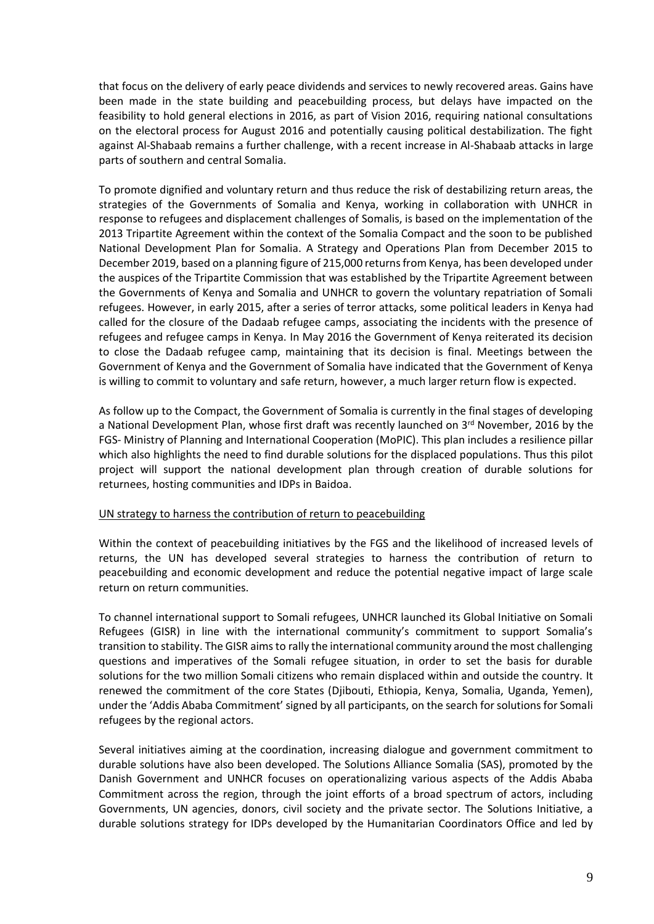that focus on the delivery of early peace dividends and services to newly recovered areas. Gains have been made in the state building and peacebuilding process, but delays have impacted on the feasibility to hold general elections in 2016, as part of Vision 2016, requiring national consultations on the electoral process for August 2016 and potentially causing political destabilization. The fight against Al-Shabaab remains a further challenge, with a recent increase in Al-Shabaab attacks in large parts of southern and central Somalia.

To promote dignified and voluntary return and thus reduce the risk of destabilizing return areas, the strategies of the Governments of Somalia and Kenya, working in collaboration with UNHCR in response to refugees and displacement challenges of Somalis, is based on the implementation of the 2013 Tripartite Agreement within the context of the Somalia Compact and the soon to be published National Development Plan for Somalia. A Strategy and Operations Plan from December 2015 to December 2019, based on a planning figure of 215,000 returns from Kenya, has been developed under the auspices of the Tripartite Commission that was established by the Tripartite Agreement between the Governments of Kenya and Somalia and UNHCR to govern the voluntary repatriation of Somali refugees. However, in early 2015, after a series of terror attacks, some political leaders in Kenya had called for the closure of the Dadaab refugee camps, associating the incidents with the presence of refugees and refugee camps in Kenya. In May 2016 the Government of Kenya reiterated its decision to close the Dadaab refugee camp, maintaining that its decision is final. Meetings between the Government of Kenya and the Government of Somalia have indicated that the Government of Kenya is willing to commit to voluntary and safe return, however, a much larger return flow is expected.

As follow up to the Compact, the Government of Somalia is currently in the final stages of developing a National Development Plan, whose first draft was recently launched on 3rd November, 2016 by the FGS- Ministry of Planning and International Cooperation (MoPIC). This plan includes a resilience pillar which also highlights the need to find durable solutions for the displaced populations. Thus this pilot project will support the national development plan through creation of durable solutions for returnees, hosting communities and IDPs in Baidoa.

#### UN strategy to harness the contribution of return to peacebuilding

Within the context of peacebuilding initiatives by the FGS and the likelihood of increased levels of returns, the UN has developed several strategies to harness the contribution of return to peacebuilding and economic development and reduce the potential negative impact of large scale return on return communities.

To channel international support to Somali refugees, UNHCR launched its Global Initiative on Somali Refugees (GISR) in line with the international community's commitment to support Somalia's transition to stability. The GISR aimsto rally the international community around the most challenging questions and imperatives of the Somali refugee situation, in order to set the basis for durable solutions for the two million Somali citizens who remain displaced within and outside the country. It renewed the commitment of the core States (Djibouti, Ethiopia, Kenya, Somalia, Uganda, Yemen), under the 'Addis Ababa Commitment' signed by all participants, on the search for solutions for Somali refugees by the regional actors.

Several initiatives aiming at the coordination, increasing dialogue and government commitment to durable solutions have also been developed. The Solutions Alliance Somalia (SAS), promoted by the Danish Government and UNHCR focuses on operationalizing various aspects of the Addis Ababa Commitment across the region, through the joint efforts of a broad spectrum of actors, including Governments, UN agencies, donors, civil society and the private sector. The Solutions Initiative, a durable solutions strategy for IDPs developed by the Humanitarian Coordinators Office and led by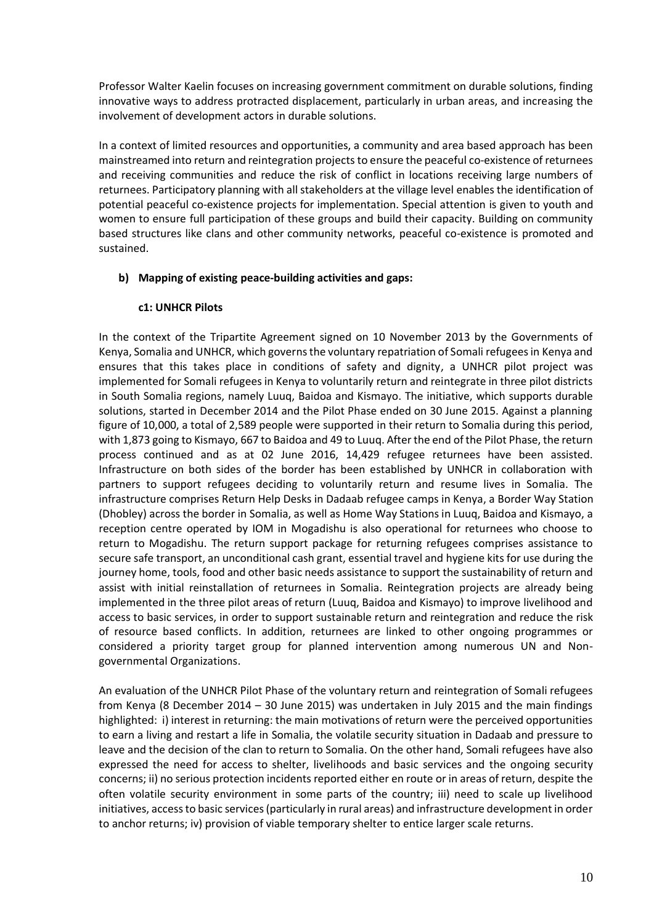Professor Walter Kaelin focuses on increasing government commitment on durable solutions, finding innovative ways to address protracted displacement, particularly in urban areas, and increasing the involvement of development actors in durable solutions.

In a context of limited resources and opportunities, a community and area based approach has been mainstreamed into return and reintegration projects to ensure the peaceful co-existence of returnees and receiving communities and reduce the risk of conflict in locations receiving large numbers of returnees. Participatory planning with all stakeholders at the village level enables the identification of potential peaceful co-existence projects for implementation. Special attention is given to youth and women to ensure full participation of these groups and build their capacity. Building on community based structures like clans and other community networks, peaceful co-existence is promoted and sustained.

## **b) Mapping of existing peace-building activities and gaps:**

### **c1: UNHCR Pilots**

In the context of the Tripartite Agreement signed on 10 November 2013 by the Governments of Kenya, Somalia and UNHCR, which governs the voluntary repatriation of Somali refugees in Kenya and ensures that this takes place in conditions of safety and dignity, a UNHCR pilot project was implemented for Somali refugees in Kenya to voluntarily return and reintegrate in three pilot districts in South Somalia regions, namely Luuq, Baidoa and Kismayo. The initiative, which supports durable solutions, started in December 2014 and the Pilot Phase ended on 30 June 2015. Against a planning figure of 10,000, a total of 2,589 people were supported in their return to Somalia during this period, with 1,873 going to Kismayo, 667 to Baidoa and 49 to Luuq. After the end of the Pilot Phase, the return process continued and as at 02 June 2016, 14,429 refugee returnees have been assisted. Infrastructure on both sides of the border has been established by UNHCR in collaboration with partners to support refugees deciding to voluntarily return and resume lives in Somalia. The infrastructure comprises Return Help Desks in Dadaab refugee camps in Kenya, a Border Way Station (Dhobley) across the border in Somalia, as well as Home Way Stations in Luuq, Baidoa and Kismayo, a reception centre operated by IOM in Mogadishu is also operational for returnees who choose to return to Mogadishu. The return support package for returning refugees comprises assistance to secure safe transport, an unconditional cash grant, essential travel and hygiene kits for use during the journey home, tools, food and other basic needs assistance to support the sustainability of return and assist with initial reinstallation of returnees in Somalia. Reintegration projects are already being implemented in the three pilot areas of return (Luuq, Baidoa and Kismayo) to improve livelihood and access to basic services, in order to support sustainable return and reintegration and reduce the risk of resource based conflicts. In addition, returnees are linked to other ongoing programmes or considered a priority target group for planned intervention among numerous UN and Nongovernmental Organizations.

An evaluation of the UNHCR Pilot Phase of the voluntary return and reintegration of Somali refugees from Kenya (8 December 2014 – 30 June 2015) was undertaken in July 2015 and the main findings highlighted: i) interest in returning: the main motivations of return were the perceived opportunities to earn a living and restart a life in Somalia, the volatile security situation in Dadaab and pressure to leave and the decision of the clan to return to Somalia. On the other hand, Somali refugees have also expressed the need for access to shelter, livelihoods and basic services and the ongoing security concerns; ii) no serious protection incidents reported either en route or in areas of return, despite the often volatile security environment in some parts of the country; iii) need to scale up livelihood initiatives, access to basic services (particularly in rural areas) and infrastructure development in order to anchor returns; iv) provision of viable temporary shelter to entice larger scale returns.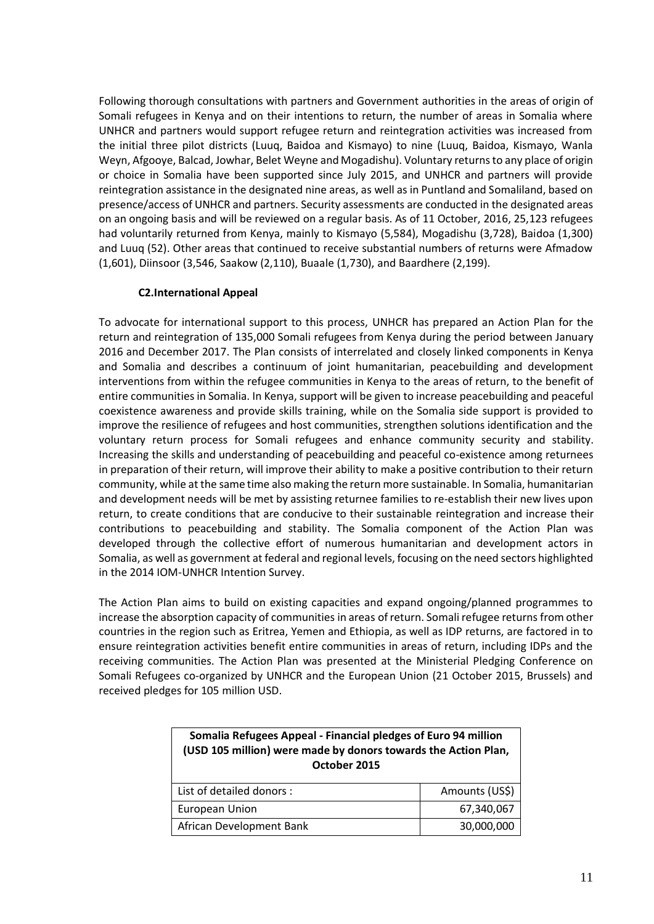Following thorough consultations with partners and Government authorities in the areas of origin of Somali refugees in Kenya and on their intentions to return, the number of areas in Somalia where UNHCR and partners would support refugee return and reintegration activities was increased from the initial three pilot districts (Luuq, Baidoa and Kismayo) to nine (Luuq, Baidoa, Kismayo, Wanla Weyn, Afgooye, Balcad, Jowhar, Belet Weyne and Mogadishu). Voluntary returns to any place of origin or choice in Somalia have been supported since July 2015, and UNHCR and partners will provide reintegration assistance in the designated nine areas, as well as in Puntland and Somaliland, based on presence/access of UNHCR and partners. Security assessments are conducted in the designated areas on an ongoing basis and will be reviewed on a regular basis. As of 11 October, 2016, 25,123 refugees had voluntarily returned from Kenya, mainly to Kismayo (5,584), Mogadishu (3,728), Baidoa (1,300) and Luuq (52). Other areas that continued to receive substantial numbers of returns were Afmadow (1,601), Diinsoor (3,546, Saakow (2,110), Buaale (1,730), and Baardhere (2,199).

### **C2.International Appeal**

To advocate for international support to this process, UNHCR has prepared an Action Plan for the return and reintegration of 135,000 Somali refugees from Kenya during the period between January 2016 and December 2017. The Plan consists of interrelated and closely linked components in Kenya and Somalia and describes a continuum of joint humanitarian, peacebuilding and development interventions from within the refugee communities in Kenya to the areas of return, to the benefit of entire communities in Somalia. In Kenya, support will be given to increase peacebuilding and peaceful coexistence awareness and provide skills training, while on the Somalia side support is provided to improve the resilience of refugees and host communities, strengthen solutions identification and the voluntary return process for Somali refugees and enhance community security and stability. Increasing the skills and understanding of peacebuilding and peaceful co-existence among returnees in preparation of their return, will improve their ability to make a positive contribution to their return community, while at the same time also making the return more sustainable. In Somalia, humanitarian and development needs will be met by assisting returnee families to re-establish their new lives upon return, to create conditions that are conducive to their sustainable reintegration and increase their contributions to peacebuilding and stability. The Somalia component of the Action Plan was developed through the collective effort of numerous humanitarian and development actors in Somalia, as well as government at federal and regional levels, focusing on the need sectors highlighted in the 2014 IOM-UNHCR Intention Survey.

The Action Plan aims to build on existing capacities and expand ongoing/planned programmes to increase the absorption capacity of communities in areas of return. Somali refugee returns from other countries in the region such as Eritrea, Yemen and Ethiopia, as well as IDP returns, are factored in to ensure reintegration activities benefit entire communities in areas of return, including IDPs and the receiving communities. The Action Plan was presented at the Ministerial Pledging Conference on Somali Refugees co-organized by UNHCR and the European Union (21 October 2015, Brussels) and received pledges for 105 million USD.

| Somalia Refugees Appeal - Financial pledges of Euro 94 million<br>(USD 105 million) were made by donors towards the Action Plan,<br>October 2015 |            |  |  |  |
|--------------------------------------------------------------------------------------------------------------------------------------------------|------------|--|--|--|
| Amounts (US\$)<br>List of detailed donors :                                                                                                      |            |  |  |  |
| European Union<br>67,340,067                                                                                                                     |            |  |  |  |
| African Development Bank                                                                                                                         | 30,000,000 |  |  |  |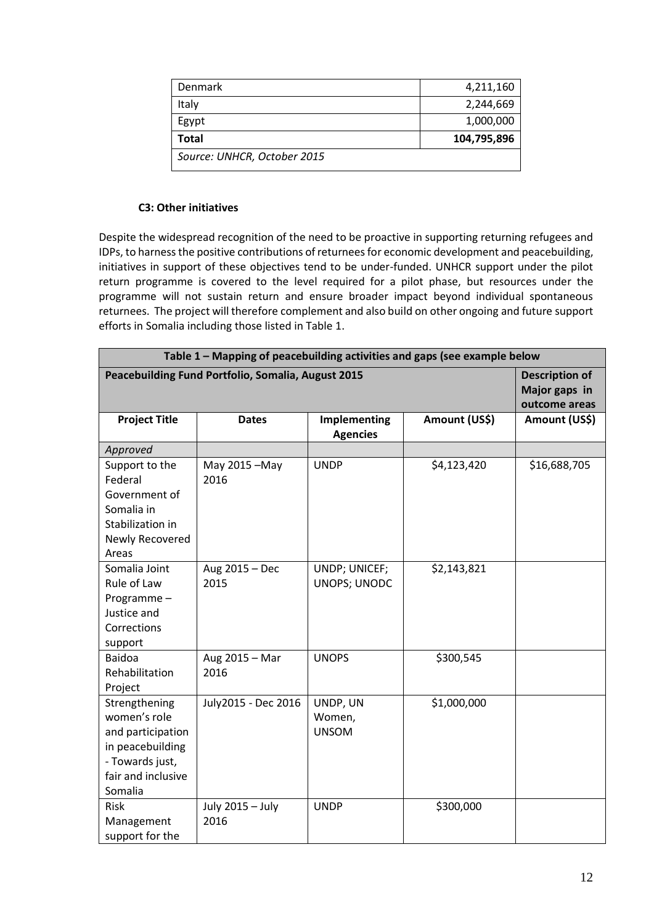| Denmark                     | 4,211,160   |
|-----------------------------|-------------|
| Italy                       | 2,244,669   |
| Egypt                       | 1,000,000   |
| Total                       | 104,795,896 |
| Source: UNHCR, October 2015 |             |

### **C3: Other initiatives**

Despite the widespread recognition of the need to be proactive in supporting returning refugees and IDPs, to harness the positive contributions of returnees for economic development and peacebuilding, initiatives in support of these objectives tend to be under-funded. UNHCR support under the pilot return programme is covered to the level required for a pilot phase, but resources under the programme will not sustain return and ensure broader impact beyond individual spontaneous returnees. The project will therefore complement and also build on other ongoing and future support efforts in Somalia including those listed in Table 1.

| Table 1 - Mapping of peacebuilding activities and gaps (see example below                                                  |                          |                                                         |               |              |  |  |
|----------------------------------------------------------------------------------------------------------------------------|--------------------------|---------------------------------------------------------|---------------|--------------|--|--|
| Peacebuilding Fund Portfolio, Somalia, August 2015                                                                         |                          | <b>Description of</b><br>Major gaps in<br>outcome areas |               |              |  |  |
| <b>Project Title</b>                                                                                                       | <b>Dates</b>             | Amount (US\$)                                           | Amount (US\$) |              |  |  |
| Approved                                                                                                                   |                          |                                                         |               |              |  |  |
| Support to the<br>Federal<br>Government of<br>Somalia in<br>Stabilization in<br>Newly Recovered<br>Areas                   | May 2015-May<br>2016     | <b>UNDP</b>                                             | \$4,123,420   | \$16,688,705 |  |  |
| Somalia Joint<br>Rule of Law<br>Programme-<br>Justice and<br>Corrections<br>support                                        | Aug 2015 - Dec<br>2015   | UNDP; UNICEF;<br>UNOPS; UNODC                           | \$2,143,821   |              |  |  |
| <b>Baidoa</b><br>Rehabilitation<br>Project                                                                                 | Aug 2015 - Mar<br>2016   | <b>UNOPS</b>                                            | \$300,545     |              |  |  |
| Strengthening<br>women's role<br>and participation<br>in peacebuilding<br>- Towards just,<br>fair and inclusive<br>Somalia | July2015 - Dec 2016      | UNDP, UN<br>Women,<br><b>UNSOM</b>                      | \$1,000,000   |              |  |  |
| Risk<br>Management<br>support for the                                                                                      | July 2015 - July<br>2016 | <b>UNDP</b>                                             | \$300,000     |              |  |  |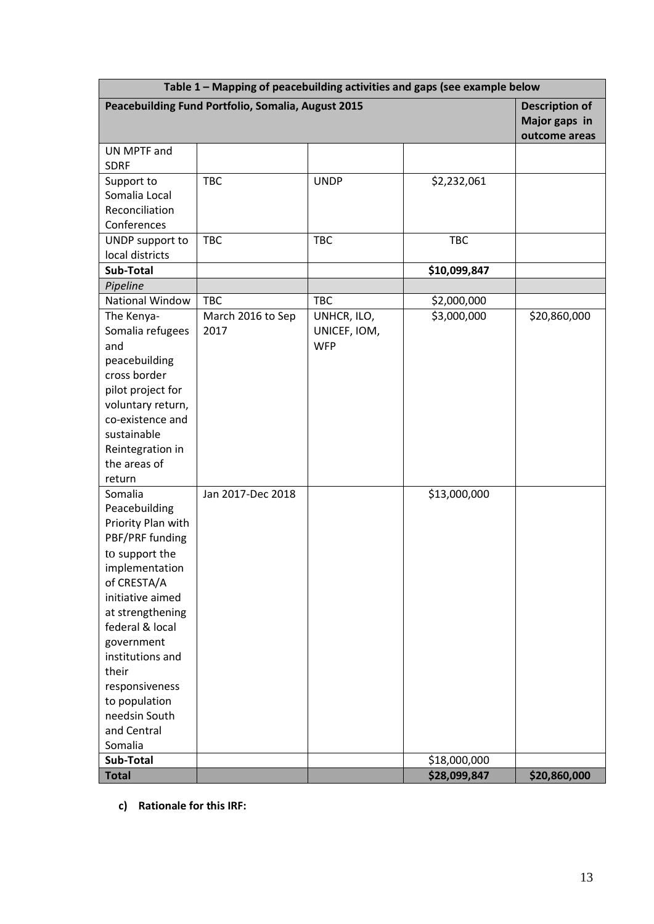| Table 1 - Mapping of peacebuilding activities and gaps (see example below |                                                                             |              |              |               |  |  |  |
|---------------------------------------------------------------------------|-----------------------------------------------------------------------------|--------------|--------------|---------------|--|--|--|
|                                                                           | Peacebuilding Fund Portfolio, Somalia, August 2015<br><b>Description of</b> |              |              |               |  |  |  |
|                                                                           | Major gaps in                                                               |              |              |               |  |  |  |
|                                                                           |                                                                             |              |              | outcome areas |  |  |  |
| UN MPTF and                                                               |                                                                             |              |              |               |  |  |  |
| <b>SDRF</b>                                                               |                                                                             |              |              |               |  |  |  |
| Support to                                                                | <b>TBC</b>                                                                  | <b>UNDP</b>  | \$2,232,061  |               |  |  |  |
| Somalia Local<br>Reconciliation                                           |                                                                             |              |              |               |  |  |  |
| Conferences                                                               |                                                                             |              |              |               |  |  |  |
| UNDP support to                                                           | <b>TBC</b>                                                                  | <b>TBC</b>   | <b>TBC</b>   |               |  |  |  |
| local districts                                                           |                                                                             |              |              |               |  |  |  |
| Sub-Total                                                                 |                                                                             |              | \$10,099,847 |               |  |  |  |
| Pipeline                                                                  |                                                                             |              |              |               |  |  |  |
| National Window                                                           | <b>TBC</b>                                                                  | <b>TBC</b>   | \$2,000,000  |               |  |  |  |
| The Kenya-                                                                | March 2016 to Sep                                                           | UNHCR, ILO,  | \$3,000,000  | \$20,860,000  |  |  |  |
| Somalia refugees                                                          | 2017                                                                        | UNICEF, IOM, |              |               |  |  |  |
| and                                                                       |                                                                             | <b>WFP</b>   |              |               |  |  |  |
| peacebuilding                                                             |                                                                             |              |              |               |  |  |  |
| cross border                                                              |                                                                             |              |              |               |  |  |  |
| pilot project for<br>voluntary return,                                    |                                                                             |              |              |               |  |  |  |
| co-existence and                                                          |                                                                             |              |              |               |  |  |  |
| sustainable                                                               |                                                                             |              |              |               |  |  |  |
| Reintegration in                                                          |                                                                             |              |              |               |  |  |  |
| the areas of                                                              |                                                                             |              |              |               |  |  |  |
| return                                                                    |                                                                             |              |              |               |  |  |  |
| Somalia                                                                   | Jan 2017-Dec 2018                                                           |              | \$13,000,000 |               |  |  |  |
| Peacebuilding                                                             |                                                                             |              |              |               |  |  |  |
| Priority Plan with                                                        |                                                                             |              |              |               |  |  |  |
| PBF/PRF funding<br>to support the                                         |                                                                             |              |              |               |  |  |  |
| implementation                                                            |                                                                             |              |              |               |  |  |  |
| of CRESTA/A                                                               |                                                                             |              |              |               |  |  |  |
| initiative aimed                                                          |                                                                             |              |              |               |  |  |  |
| at strengthening                                                          |                                                                             |              |              |               |  |  |  |
| federal & local                                                           |                                                                             |              |              |               |  |  |  |
| government                                                                |                                                                             |              |              |               |  |  |  |
| institutions and                                                          |                                                                             |              |              |               |  |  |  |
| their                                                                     |                                                                             |              |              |               |  |  |  |
| responsiveness                                                            |                                                                             |              |              |               |  |  |  |
| to population<br>needsin South                                            |                                                                             |              |              |               |  |  |  |
| and Central                                                               |                                                                             |              |              |               |  |  |  |
| Somalia                                                                   |                                                                             |              |              |               |  |  |  |
| Sub-Total                                                                 |                                                                             |              | \$18,000,000 |               |  |  |  |
| <b>Total</b>                                                              |                                                                             |              | \$28,099,847 | \$20,860,000  |  |  |  |

**c) Rationale for this IRF:**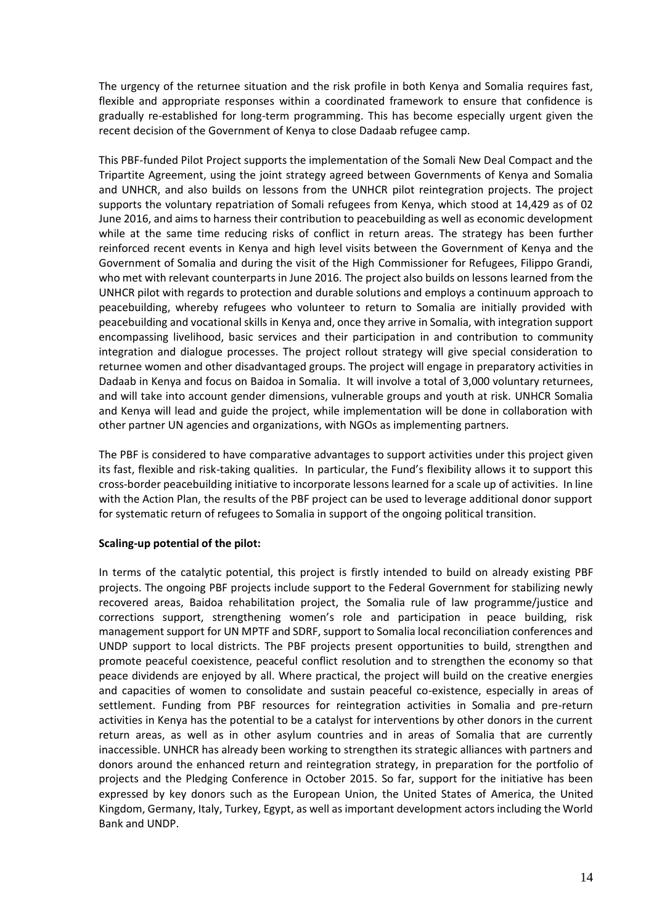The urgency of the returnee situation and the risk profile in both Kenya and Somalia requires fast, flexible and appropriate responses within a coordinated framework to ensure that confidence is gradually re-established for long-term programming. This has become especially urgent given the recent decision of the Government of Kenya to close Dadaab refugee camp.

This PBF-funded Pilot Project supports the implementation of the Somali New Deal Compact and the Tripartite Agreement, using the joint strategy agreed between Governments of Kenya and Somalia and UNHCR, and also builds on lessons from the UNHCR pilot reintegration projects. The project supports the voluntary repatriation of Somali refugees from Kenya, which stood at 14,429 as of 02 June 2016, and aims to harness their contribution to peacebuilding as well as economic development while at the same time reducing risks of conflict in return areas. The strategy has been further reinforced recent events in Kenya and high level visits between the Government of Kenya and the Government of Somalia and during the visit of the High Commissioner for Refugees, Filippo Grandi, who met with relevant counterparts in June 2016. The project also builds on lessons learned from the UNHCR pilot with regards to protection and durable solutions and employs a continuum approach to peacebuilding, whereby refugees who volunteer to return to Somalia are initially provided with peacebuilding and vocational skills in Kenya and, once they arrive in Somalia, with integration support encompassing livelihood, basic services and their participation in and contribution to community integration and dialogue processes. The project rollout strategy will give special consideration to returnee women and other disadvantaged groups. The project will engage in preparatory activities in Dadaab in Kenya and focus on Baidoa in Somalia. It will involve a total of 3,000 voluntary returnees, and will take into account gender dimensions, vulnerable groups and youth at risk. UNHCR Somalia and Kenya will lead and guide the project, while implementation will be done in collaboration with other partner UN agencies and organizations, with NGOs as implementing partners.

The PBF is considered to have comparative advantages to support activities under this project given its fast, flexible and risk-taking qualities. In particular, the Fund's flexibility allows it to support this cross-border peacebuilding initiative to incorporate lessons learned for a scale up of activities. In line with the Action Plan, the results of the PBF project can be used to leverage additional donor support for systematic return of refugees to Somalia in support of the ongoing political transition.

#### **Scaling-up potential of the pilot:**

In terms of the catalytic potential, this project is firstly intended to build on already existing PBF projects. The ongoing PBF projects include support to the Federal Government for stabilizing newly recovered areas, Baidoa rehabilitation project, the Somalia rule of law programme/justice and corrections support, strengthening women's role and participation in peace building, risk management support for UN MPTF and SDRF, support to Somalia local reconciliation conferences and UNDP support to local districts. The PBF projects present opportunities to build, strengthen and promote peaceful coexistence, peaceful conflict resolution and to strengthen the economy so that peace dividends are enjoyed by all. Where practical, the project will build on the creative energies and capacities of women to consolidate and sustain peaceful co-existence, especially in areas of settlement. Funding from PBF resources for reintegration activities in Somalia and pre-return activities in Kenya has the potential to be a catalyst for interventions by other donors in the current return areas, as well as in other asylum countries and in areas of Somalia that are currently inaccessible. UNHCR has already been working to strengthen its strategic alliances with partners and donors around the enhanced return and reintegration strategy, in preparation for the portfolio of projects and the Pledging Conference in October 2015. So far, support for the initiative has been expressed by key donors such as the European Union, the United States of America, the United Kingdom, Germany, Italy, Turkey, Egypt, as well as important development actors including the World Bank and UNDP.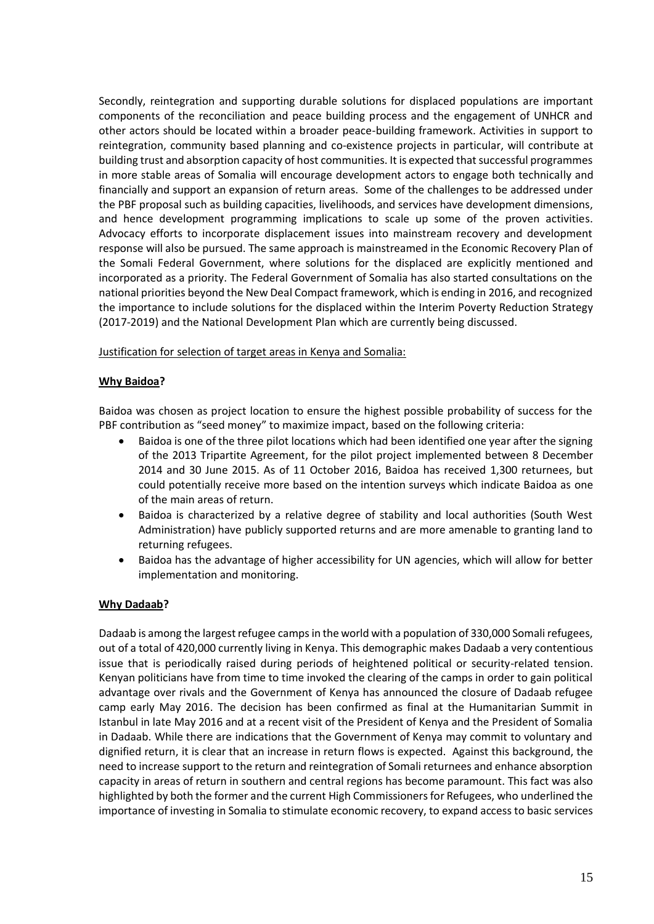Secondly, reintegration and supporting durable solutions for displaced populations are important components of the reconciliation and peace building process and the engagement of UNHCR and other actors should be located within a broader peace-building framework. Activities in support to reintegration, community based planning and co-existence projects in particular, will contribute at building trust and absorption capacity of host communities. It is expected that successful programmes in more stable areas of Somalia will encourage development actors to engage both technically and financially and support an expansion of return areas. Some of the challenges to be addressed under the PBF proposal such as building capacities, livelihoods, and services have development dimensions, and hence development programming implications to scale up some of the proven activities. Advocacy efforts to incorporate displacement issues into mainstream recovery and development response will also be pursued. The same approach is mainstreamed in the Economic Recovery Plan of the Somali Federal Government, where solutions for the displaced are explicitly mentioned and incorporated as a priority. The Federal Government of Somalia has also started consultations on the national priorities beyond the New Deal Compact framework, which is ending in 2016, and recognized the importance to include solutions for the displaced within the Interim Poverty Reduction Strategy (2017-2019) and the National Development Plan which are currently being discussed.

#### Justification for selection of target areas in Kenya and Somalia:

### **Why Baidoa?**

Baidoa was chosen as project location to ensure the highest possible probability of success for the PBF contribution as "seed money" to maximize impact, based on the following criteria:

- Baidoa is one of the three pilot locations which had been identified one year after the signing of the 2013 Tripartite Agreement, for the pilot project implemented between 8 December 2014 and 30 June 2015. As of 11 October 2016, Baidoa has received 1,300 returnees, but could potentially receive more based on the intention surveys which indicate Baidoa as one of the main areas of return.
- Baidoa is characterized by a relative degree of stability and local authorities (South West Administration) have publicly supported returns and are more amenable to granting land to returning refugees.
- Baidoa has the advantage of higher accessibility for UN agencies, which will allow for better implementation and monitoring.

#### **Why Dadaab?**

Dadaab is among the largest refugee camps in the world with a population of 330,000 Somali refugees, out of a total of 420,000 currently living in Kenya. This demographic makes Dadaab a very contentious issue that is periodically raised during periods of heightened political or security-related tension. Kenyan politicians have from time to time invoked the clearing of the camps in order to gain political advantage over rivals and the Government of Kenya has announced the closure of Dadaab refugee camp early May 2016. The decision has been confirmed as final at the Humanitarian Summit in Istanbul in late May 2016 and at a recent visit of the President of Kenya and the President of Somalia in Dadaab. While there are indications that the Government of Kenya may commit to voluntary and dignified return, it is clear that an increase in return flows is expected. Against this background, the need to increase support to the return and reintegration of Somali returnees and enhance absorption capacity in areas of return in southern and central regions has become paramount. This fact was also highlighted by both the former and the current High Commissioners for Refugees, who underlined the importance of investing in Somalia to stimulate economic recovery, to expand access to basic services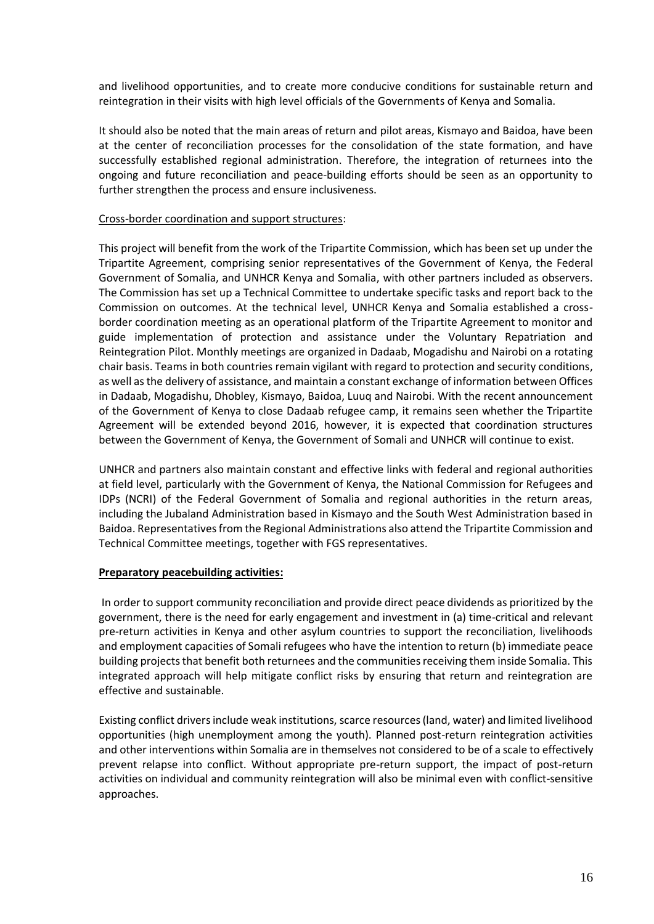and livelihood opportunities, and to create more conducive conditions for sustainable return and reintegration in their visits with high level officials of the Governments of Kenya and Somalia.

It should also be noted that the main areas of return and pilot areas, Kismayo and Baidoa, have been at the center of reconciliation processes for the consolidation of the state formation, and have successfully established regional administration. Therefore, the integration of returnees into the ongoing and future reconciliation and peace-building efforts should be seen as an opportunity to further strengthen the process and ensure inclusiveness.

#### Cross-border coordination and support structures:

This project will benefit from the work of the Tripartite Commission, which has been set up under the Tripartite Agreement, comprising senior representatives of the Government of Kenya, the Federal Government of Somalia, and UNHCR Kenya and Somalia, with other partners included as observers. The Commission has set up a Technical Committee to undertake specific tasks and report back to the Commission on outcomes. At the technical level, UNHCR Kenya and Somalia established a crossborder coordination meeting as an operational platform of the Tripartite Agreement to monitor and guide implementation of protection and assistance under the Voluntary Repatriation and Reintegration Pilot. Monthly meetings are organized in Dadaab, Mogadishu and Nairobi on a rotating chair basis. Teams in both countries remain vigilant with regard to protection and security conditions, as well as the delivery of assistance, and maintain a constant exchange of information between Offices in Dadaab, Mogadishu, Dhobley, Kismayo, Baidoa, Luuq and Nairobi. With the recent announcement of the Government of Kenya to close Dadaab refugee camp, it remains seen whether the Tripartite Agreement will be extended beyond 2016, however, it is expected that coordination structures between the Government of Kenya, the Government of Somali and UNHCR will continue to exist.

UNHCR and partners also maintain constant and effective links with federal and regional authorities at field level, particularly with the Government of Kenya, the National Commission for Refugees and IDPs (NCRI) of the Federal Government of Somalia and regional authorities in the return areas, including the Jubaland Administration based in Kismayo and the South West Administration based in Baidoa. Representatives from the Regional Administrations also attend the Tripartite Commission and Technical Committee meetings, together with FGS representatives.

#### **Preparatory peacebuilding activities:**

In order to support community reconciliation and provide direct peace dividends as prioritized by the government, there is the need for early engagement and investment in (a) time-critical and relevant pre-return activities in Kenya and other asylum countries to support the reconciliation, livelihoods and employment capacities of Somali refugees who have the intention to return (b) immediate peace building projects that benefit both returnees and the communities receiving them inside Somalia. This integrated approach will help mitigate conflict risks by ensuring that return and reintegration are effective and sustainable.

Existing conflict drivers include weak institutions, scarce resources (land, water) and limited livelihood opportunities (high unemployment among the youth). Planned post-return reintegration activities and other interventions within Somalia are in themselves not considered to be of a scale to effectively prevent relapse into conflict. Without appropriate pre-return support, the impact of post-return activities on individual and community reintegration will also be minimal even with conflict-sensitive approaches.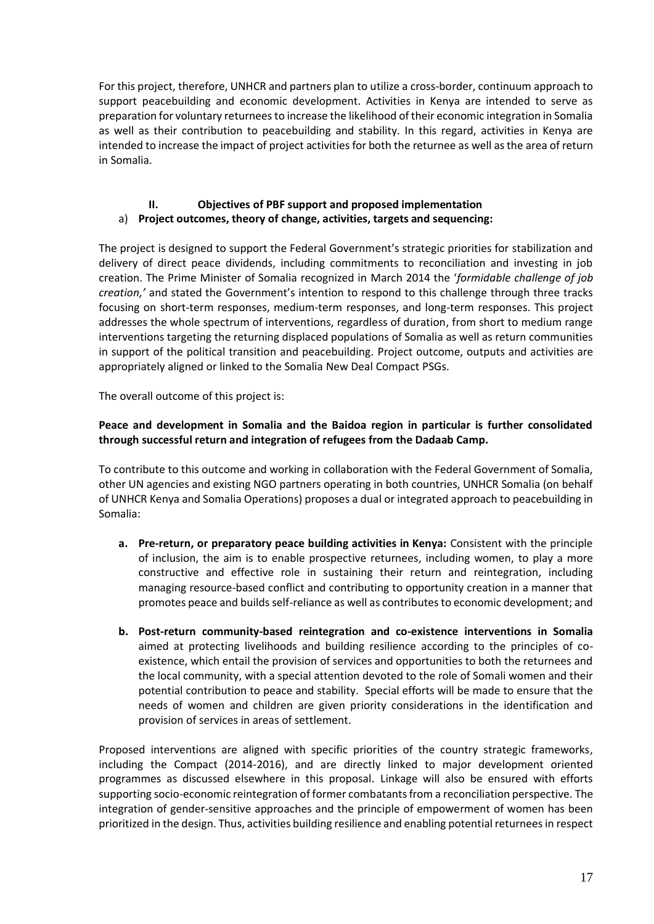For this project, therefore, UNHCR and partners plan to utilize a cross-border, continuum approach to support peacebuilding and economic development. Activities in Kenya are intended to serve as preparation for voluntary returnees to increase the likelihood of their economic integration in Somalia as well as their contribution to peacebuilding and stability. In this regard, activities in Kenya are intended to increase the impact of project activities for both the returnee as well as the area of return in Somalia.

## **II. Objectives of PBF support and proposed implementation** a) **Project outcomes, theory of change, activities, targets and sequencing:**

The project is designed to support the Federal Government's strategic priorities for stabilization and delivery of direct peace dividends, including commitments to reconciliation and investing in job creation. The Prime Minister of Somalia recognized in March 2014 the '*formidable challenge of job creation,'* and stated the Government's intention to respond to this challenge through three tracks focusing on short-term responses, medium-term responses, and long-term responses. This project addresses the whole spectrum of interventions, regardless of duration, from short to medium range interventions targeting the returning displaced populations of Somalia as well as return communities in support of the political transition and peacebuilding. Project outcome, outputs and activities are appropriately aligned or linked to the Somalia New Deal Compact PSGs.

The overall outcome of this project is:

### **Peace and development in Somalia and the Baidoa region in particular is further consolidated through successful return and integration of refugees from the Dadaab Camp.**

To contribute to this outcome and working in collaboration with the Federal Government of Somalia, other UN agencies and existing NGO partners operating in both countries, UNHCR Somalia (on behalf of UNHCR Kenya and Somalia Operations) proposes a dual or integrated approach to peacebuilding in Somalia:

- **a. Pre-return, or preparatory peace building activities in Kenya:** Consistent with the principle of inclusion, the aim is to enable prospective returnees, including women, to play a more constructive and effective role in sustaining their return and reintegration, including managing resource-based conflict and contributing to opportunity creation in a manner that promotes peace and builds self-reliance as well as contributes to economic development; and
- **b. Post-return community-based reintegration and co-existence interventions in Somalia** aimed at protecting livelihoods and building resilience according to the principles of coexistence, which entail the provision of services and opportunities to both the returnees and the local community, with a special attention devoted to the role of Somali women and their potential contribution to peace and stability. Special efforts will be made to ensure that the needs of women and children are given priority considerations in the identification and provision of services in areas of settlement.

Proposed interventions are aligned with specific priorities of the country strategic frameworks, including the Compact (2014-2016), and are directly linked to major development oriented programmes as discussed elsewhere in this proposal. Linkage will also be ensured with efforts supporting socio-economic reintegration of former combatants from a reconciliation perspective. The integration of gender-sensitive approaches and the principle of empowerment of women has been prioritized in the design. Thus, activities building resilience and enabling potential returnees in respect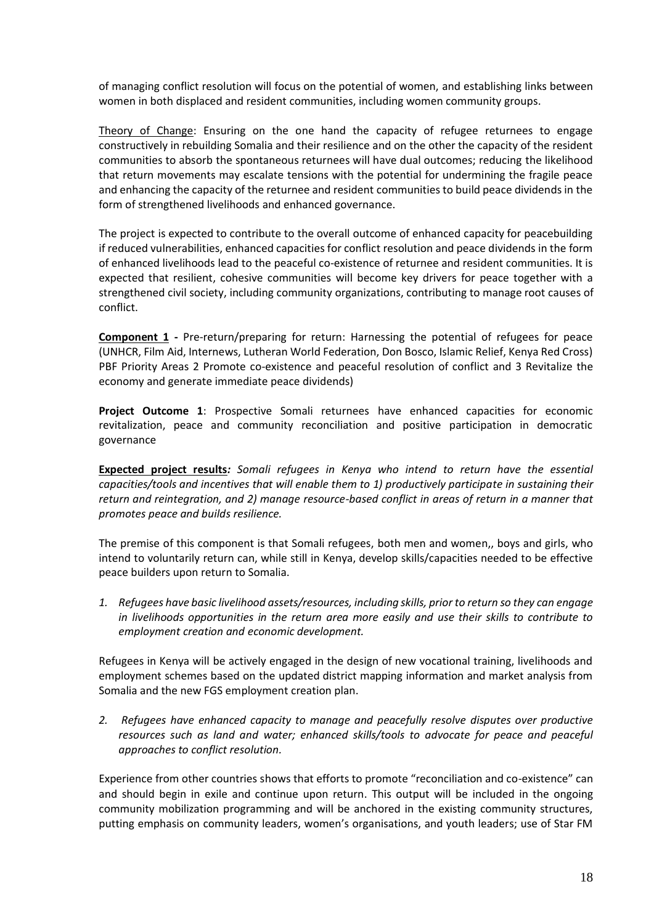of managing conflict resolution will focus on the potential of women, and establishing links between women in both displaced and resident communities, including women community groups.

Theory of Change: Ensuring on the one hand the capacity of refugee returnees to engage constructively in rebuilding Somalia and their resilience and on the other the capacity of the resident communities to absorb the spontaneous returnees will have dual outcomes; reducing the likelihood that return movements may escalate tensions with the potential for undermining the fragile peace and enhancing the capacity of the returnee and resident communities to build peace dividends in the form of strengthened livelihoods and enhanced governance.

The project is expected to contribute to the overall outcome of enhanced capacity for peacebuilding if reduced vulnerabilities, enhanced capacities for conflict resolution and peace dividends in the form of enhanced livelihoods lead to the peaceful co-existence of returnee and resident communities. It is expected that resilient, cohesive communities will become key drivers for peace together with a strengthened civil society, including community organizations, contributing to manage root causes of conflict.

**Component 1 -** Pre-return/preparing for return: Harnessing the potential of refugees for peace (UNHCR, Film Aid, Internews, Lutheran World Federation, Don Bosco, Islamic Relief, Kenya Red Cross) PBF Priority Areas 2 Promote co-existence and peaceful resolution of conflict and 3 Revitalize the economy and generate immediate peace dividends)

**Project Outcome 1**: Prospective Somali returnees have enhanced capacities for economic revitalization, peace and community reconciliation and positive participation in democratic governance

**Expected project results***: Somali refugees in Kenya who intend to return have the essential capacities/tools and incentives that will enable them to 1) productively participate in sustaining their return and reintegration, and 2) manage resource-based conflict in areas of return in a manner that promotes peace and builds resilience.*

The premise of this component is that Somali refugees, both men and women,, boys and girls, who intend to voluntarily return can, while still in Kenya, develop skills/capacities needed to be effective peace builders upon return to Somalia.

*1. Refugees have basic livelihood assets/resources, including skills, prior to return so they can engage in livelihoods opportunities in the return area more easily and use their skills to contribute to employment creation and economic development.*

Refugees in Kenya will be actively engaged in the design of new vocational training, livelihoods and employment schemes based on the updated district mapping information and market analysis from Somalia and the new FGS employment creation plan.

*2. Refugees have enhanced capacity to manage and peacefully resolve disputes over productive resources such as land and water; enhanced skills/tools to advocate for peace and peaceful approaches to conflict resolution.*

Experience from other countries shows that efforts to promote "reconciliation and co-existence" can and should begin in exile and continue upon return. This output will be included in the ongoing community mobilization programming and will be anchored in the existing community structures, putting emphasis on community leaders, women's organisations, and youth leaders; use of Star FM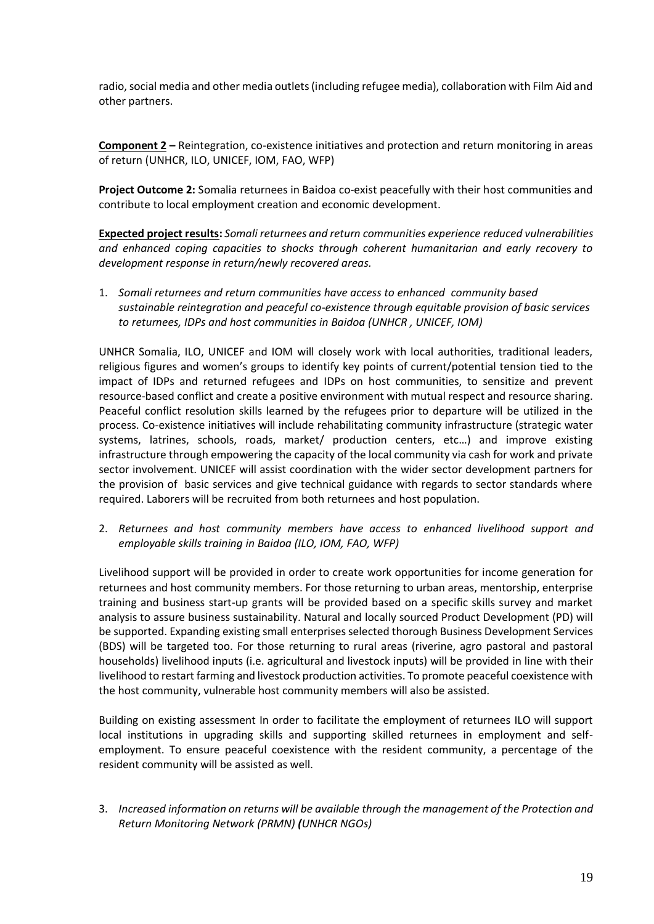radio, social media and other media outlets (including refugee media), collaboration with Film Aid and other partners.

**Component 2 –** Reintegration, co-existence initiatives and protection and return monitoring in areas of return (UNHCR, ILO, UNICEF, IOM, FAO, WFP)

**Project Outcome 2:** Somalia returnees in Baidoa co-exist peacefully with their host communities and contribute to local employment creation and economic development.

**Expected project results:** *Somali returnees and return communities experience reduced vulnerabilities and enhanced coping capacities to shocks through coherent humanitarian and early recovery to development response in return/newly recovered areas.* 

1. *Somali returnees and return communities have access to enhanced community based sustainable reintegration and peaceful co-existence through equitable provision of basic services to returnees, IDPs and host communities in Baidoa (UNHCR , UNICEF, IOM)*

UNHCR Somalia, ILO, UNICEF and IOM will closely work with local authorities, traditional leaders, religious figures and women's groups to identify key points of current/potential tension tied to the impact of IDPs and returned refugees and IDPs on host communities, to sensitize and prevent resource-based conflict and create a positive environment with mutual respect and resource sharing. Peaceful conflict resolution skills learned by the refugees prior to departure will be utilized in the process. Co-existence initiatives will include rehabilitating community infrastructure (strategic water systems, latrines, schools, roads, market/ production centers, etc…) and improve existing infrastructure through empowering the capacity of the local community via cash for work and private sector involvement. UNICEF will assist coordination with the wider sector development partners for the provision of basic services and give technical guidance with regards to sector standards where required. Laborers will be recruited from both returnees and host population.

2. *Returnees and host community members have access to enhanced livelihood support and employable skills training in Baidoa (ILO, IOM, FAO, WFP)*

Livelihood support will be provided in order to create work opportunities for income generation for returnees and host community members. For those returning to urban areas, mentorship, enterprise training and business start-up grants will be provided based on a specific skills survey and market analysis to assure business sustainability. Natural and locally sourced Product Development (PD) will be supported. Expanding existing small enterprises selected thorough Business Development Services (BDS) will be targeted too. For those returning to rural areas (riverine, agro pastoral and pastoral households) livelihood inputs (i.e. agricultural and livestock inputs) will be provided in line with their livelihood to restart farming and livestock production activities. To promote peaceful coexistence with the host community, vulnerable host community members will also be assisted.

Building on existing assessment In order to facilitate the employment of returnees ILO will support local institutions in upgrading skills and supporting skilled returnees in employment and selfemployment. To ensure peaceful coexistence with the resident community, a percentage of the resident community will be assisted as well.

3. *Increased information on returns will be available through the management of the Protection and Return Monitoring Network (PRMN) (UNHCR NGOs)*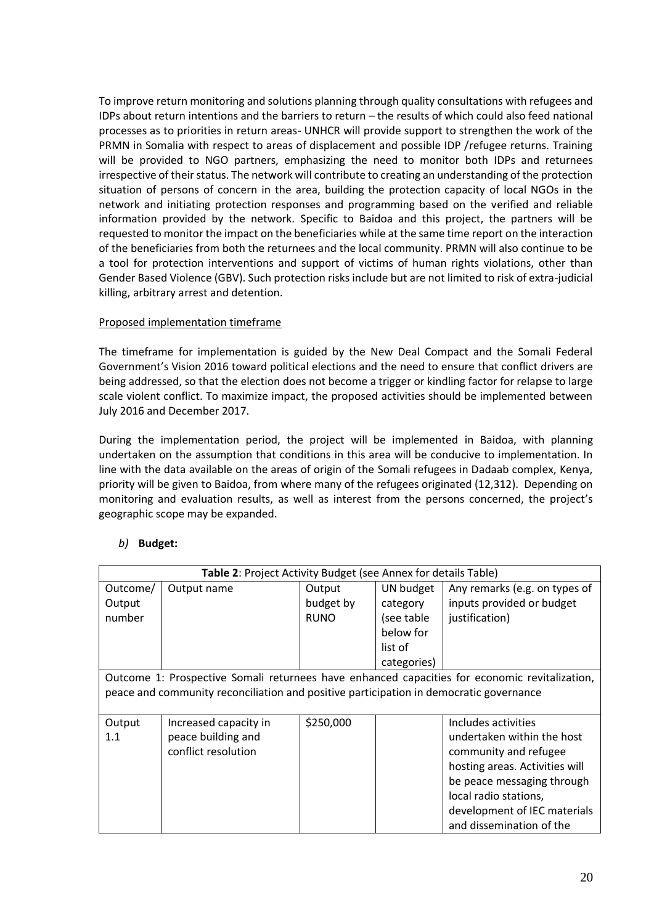To improve return monitoring and solutions planning through quality consultations with refugees and IDPs about return intentions and the barriers to return – the results of which could also feed national processes as to priorities in return areas- UNHCR will provide support to strengthen the work of the PRMN in Somalia with respect to areas of displacement and possible IDP /refugee returns. Training will be provided to NGO partners, emphasizing the need to monitor both IDPs and returnees irrespective of their status. The network will contribute to creating an understanding of the protection situation of persons of concern in the area, building the protection capacity of local NGOs in the network and initiating protection responses and programming based on the verified and reliable information provided by the network. Specific to Baidoa and this project, the partners will be requested to monitor the impact on the beneficiaries while at the same time report on the interaction of the beneficiaries from both the returnees and the local community. PRMN will also continue to be a tool for protection interventions and support of victims of human rights violations, other than Gender Based Violence (GBV). Such protection risks include but are not limited to risk of extra-judicial killing, arbitrary arrest and detention.

### Proposed implementation timeframe

The timeframe for implementation is guided by the New Deal Compact and the Somali Federal Government's Vision 2016 toward political elections and the need to ensure that conflict drivers are being addressed, so that the election does not become a trigger or kindling factor for relapse to large scale violent conflict. To maximize impact, the proposed activities should be implemented between July 2016 and December 2017.

During the implementation period, the project will be implemented in Baidoa, with planning undertaken on the assumption that conditions in this area will be conducive to implementation. In line with the data available on the areas of origin of the Somali refugees in Dadaab complex, Kenya, priority will be given to Baidoa, from where many of the refugees originated (12,312). Depending on monitoring and evaluation results, as well as interest from the persons concerned, the project's geographic scope may be expanded.

### *b)* **Budget:**

|          | Table 2: Project Activity Budget (see Annex for details Table)                         |             |             |                                                                                               |  |  |  |
|----------|----------------------------------------------------------------------------------------|-------------|-------------|-----------------------------------------------------------------------------------------------|--|--|--|
| Outcome/ | Output name                                                                            | Output      | UN budget   | Any remarks (e.g. on types of                                                                 |  |  |  |
| Output   |                                                                                        | budget by   | category    | inputs provided or budget                                                                     |  |  |  |
| number   |                                                                                        | <b>RUNO</b> | (see table  | justification)                                                                                |  |  |  |
|          |                                                                                        |             | below for   |                                                                                               |  |  |  |
|          |                                                                                        |             | list of     |                                                                                               |  |  |  |
|          |                                                                                        |             | categories) |                                                                                               |  |  |  |
|          |                                                                                        |             |             | Outcome 1: Prospective Somali returnees have enhanced capacities for economic revitalization, |  |  |  |
|          | peace and community reconciliation and positive participation in democratic governance |             |             |                                                                                               |  |  |  |
|          |                                                                                        |             |             |                                                                                               |  |  |  |
| Output   | Increased capacity in                                                                  | \$250,000   |             | Includes activities                                                                           |  |  |  |
| 1.1      | peace building and                                                                     |             |             | undertaken within the host                                                                    |  |  |  |
|          | conflict resolution                                                                    |             |             | community and refugee                                                                         |  |  |  |
|          |                                                                                        |             |             | hosting areas. Activities will                                                                |  |  |  |
|          |                                                                                        |             |             | be peace messaging through                                                                    |  |  |  |
|          |                                                                                        |             |             | local radio stations,                                                                         |  |  |  |
|          |                                                                                        |             |             | development of IEC materials                                                                  |  |  |  |
|          |                                                                                        |             |             | and dissemination of the                                                                      |  |  |  |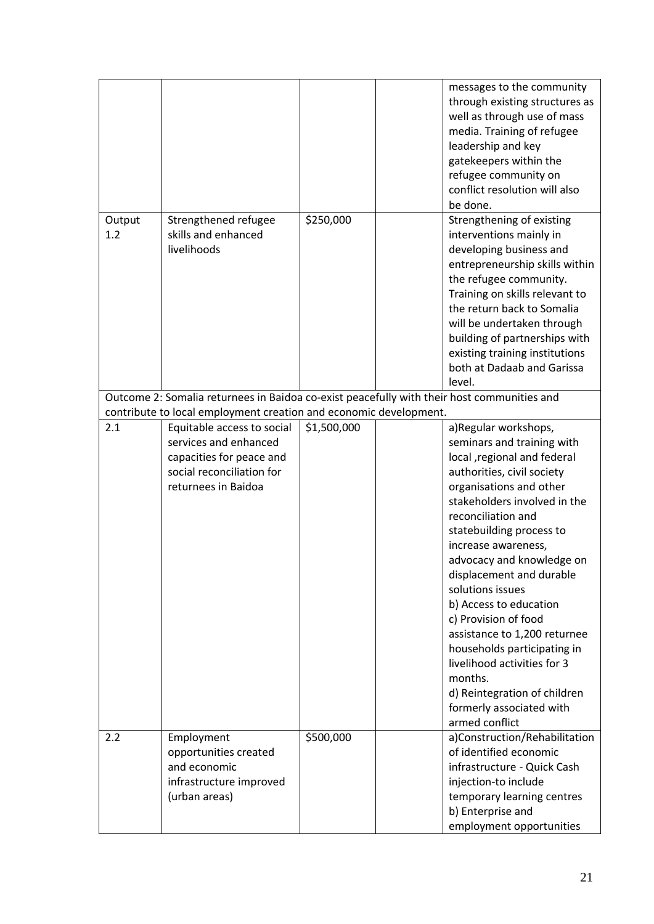|               |                                                                                                       |             | messages to the community<br>through existing structures as<br>well as through use of mass<br>media. Training of refugee<br>leadership and key<br>gatekeepers within the<br>refugee community on<br>conflict resolution will also<br>be done.                                                                                                                                                                                                                                                                                                      |
|---------------|-------------------------------------------------------------------------------------------------------|-------------|----------------------------------------------------------------------------------------------------------------------------------------------------------------------------------------------------------------------------------------------------------------------------------------------------------------------------------------------------------------------------------------------------------------------------------------------------------------------------------------------------------------------------------------------------|
| Output<br>1.2 | Strengthened refugee<br>skills and enhanced<br>livelihoods                                            | \$250,000   | Strengthening of existing<br>interventions mainly in<br>developing business and<br>entrepreneurship skills within<br>the refugee community.<br>Training on skills relevant to<br>the return back to Somalia<br>will be undertaken through<br>building of partnerships with<br>existing training institutions<br>both at Dadaab and Garissa<br>level.                                                                                                                                                                                               |
|               | Outcome 2: Somalia returnees in Baidoa co-exist peacefully with their host communities and            |             |                                                                                                                                                                                                                                                                                                                                                                                                                                                                                                                                                    |
| 2.1           | contribute to local employment creation and economic development.<br>Equitable access to social       | \$1,500,000 | a)Regular workshops,                                                                                                                                                                                                                                                                                                                                                                                                                                                                                                                               |
|               | services and enhanced<br>capacities for peace and<br>social reconciliation for<br>returnees in Baidoa |             | seminars and training with<br>local , regional and federal<br>authorities, civil society<br>organisations and other<br>stakeholders involved in the<br>reconciliation and<br>statebuilding process to<br>increase awareness,<br>advocacy and knowledge on<br>displacement and durable<br>solutions issues<br>b) Access to education<br>c) Provision of food<br>assistance to 1,200 returnee<br>households participating in<br>livelihood activities for 3<br>months.<br>d) Reintegration of children<br>formerly associated with<br>armed conflict |
| 2.2           | Employment<br>opportunities created<br>and economic<br>infrastructure improved                        | \$500,000   | a)Construction/Rehabilitation<br>of identified economic<br>infrastructure - Quick Cash<br>injection-to include                                                                                                                                                                                                                                                                                                                                                                                                                                     |
|               | (urban areas)                                                                                         |             | temporary learning centres<br>b) Enterprise and<br>employment opportunities                                                                                                                                                                                                                                                                                                                                                                                                                                                                        |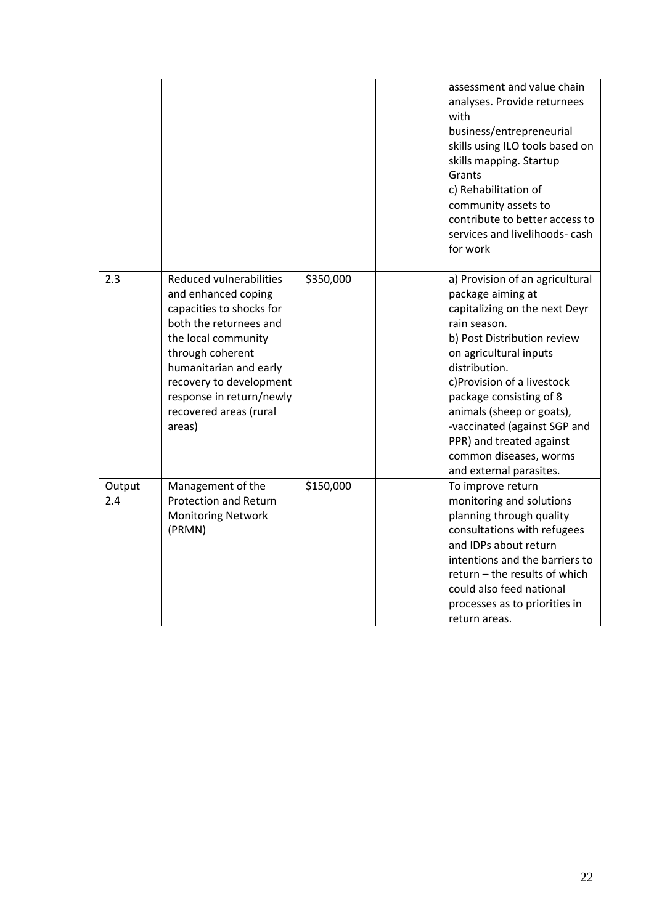|               |                                                                                                                                                                                                                                                                      |           | assessment and value chain<br>analyses. Provide returnees<br>with<br>business/entrepreneurial<br>skills using ILO tools based on<br>skills mapping. Startup<br>Grants<br>c) Rehabilitation of<br>community assets to<br>contribute to better access to<br>services and livelihoods- cash<br>for work                                                                                   |
|---------------|----------------------------------------------------------------------------------------------------------------------------------------------------------------------------------------------------------------------------------------------------------------------|-----------|----------------------------------------------------------------------------------------------------------------------------------------------------------------------------------------------------------------------------------------------------------------------------------------------------------------------------------------------------------------------------------------|
| 2.3           | Reduced vulnerabilities<br>and enhanced coping<br>capacities to shocks for<br>both the returnees and<br>the local community<br>through coherent<br>humanitarian and early<br>recovery to development<br>response in return/newly<br>recovered areas (rural<br>areas) | \$350,000 | a) Provision of an agricultural<br>package aiming at<br>capitalizing on the next Deyr<br>rain season.<br>b) Post Distribution review<br>on agricultural inputs<br>distribution.<br>c)Provision of a livestock<br>package consisting of 8<br>animals (sheep or goats),<br>-vaccinated (against SGP and<br>PPR) and treated against<br>common diseases, worms<br>and external parasites. |
| Output<br>2.4 | Management of the<br><b>Protection and Return</b><br><b>Monitoring Network</b><br>(PRMN)                                                                                                                                                                             | \$150,000 | To improve return<br>monitoring and solutions<br>planning through quality<br>consultations with refugees<br>and IDPs about return<br>intentions and the barriers to<br>return - the results of which<br>could also feed national<br>processes as to priorities in<br>return areas.                                                                                                     |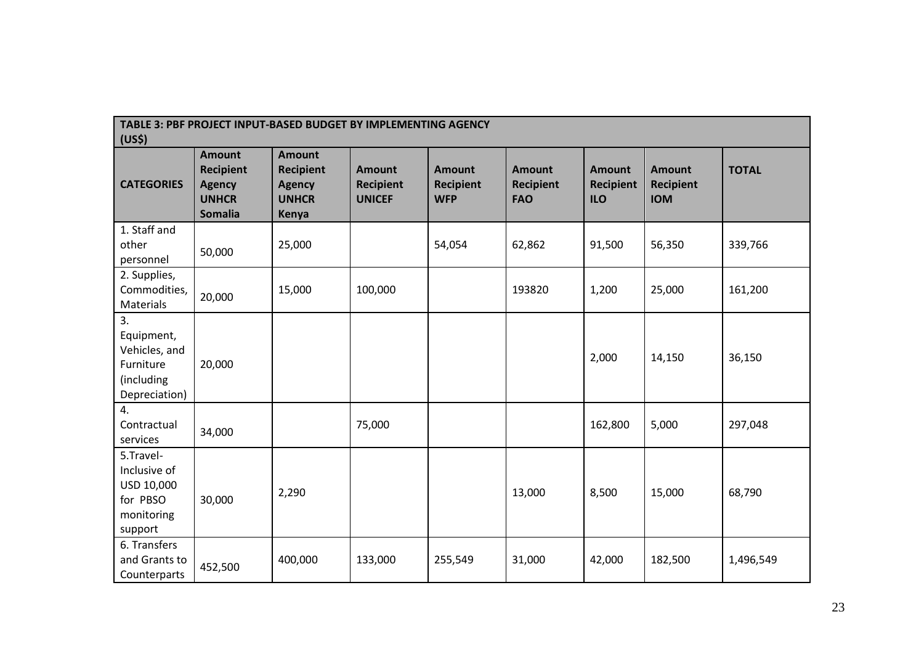| TABLE 3: PBF PROJECT INPUT-BASED BUDGET BY IMPLEMENTING AGENCY<br>(US <sup>5</sup> ) |                                                                                      |                                                                             |                                                    |                                                 |                                                 |                                                 |                                                 |              |
|--------------------------------------------------------------------------------------|--------------------------------------------------------------------------------------|-----------------------------------------------------------------------------|----------------------------------------------------|-------------------------------------------------|-------------------------------------------------|-------------------------------------------------|-------------------------------------------------|--------------|
| <b>CATEGORIES</b>                                                                    | <b>Amount</b><br><b>Recipient</b><br><b>Agency</b><br><b>UNHCR</b><br><b>Somalia</b> | <b>Amount</b><br><b>Recipient</b><br><b>Agency</b><br><b>UNHCR</b><br>Kenya | <b>Amount</b><br><b>Recipient</b><br><b>UNICEF</b> | <b>Amount</b><br><b>Recipient</b><br><b>WFP</b> | <b>Amount</b><br><b>Recipient</b><br><b>FAO</b> | <b>Amount</b><br><b>Recipient</b><br><b>ILO</b> | <b>Amount</b><br><b>Recipient</b><br><b>IOM</b> | <b>TOTAL</b> |
| 1. Staff and<br>other<br>personnel                                                   | 50,000                                                                               | 25,000                                                                      |                                                    | 54,054                                          | 62,862                                          | 91,500                                          | 56,350                                          | 339,766      |
| 2. Supplies,<br>Commodities,<br>Materials                                            | 20,000                                                                               | 15,000                                                                      | 100,000                                            |                                                 | 193820                                          | 1,200                                           | 25,000                                          | 161,200      |
| 3.<br>Equipment,<br>Vehicles, and<br>Furniture<br>(including<br>Depreciation)        | 20,000                                                                               |                                                                             |                                                    |                                                 |                                                 | 2,000                                           | 14,150                                          | 36,150       |
| 4.<br>Contractual<br>services                                                        | 34,000                                                                               |                                                                             | 75,000                                             |                                                 |                                                 | 162,800                                         | 5,000                                           | 297,048      |
| 5.Travel-<br>Inclusive of<br>USD 10,000<br>for PBSO<br>monitoring<br>support         | 30,000                                                                               | 2,290                                                                       |                                                    |                                                 | 13,000                                          | 8,500                                           | 15,000                                          | 68,790       |
| 6. Transfers<br>and Grants to<br>Counterparts                                        | 452,500                                                                              | 400,000                                                                     | 133,000                                            | 255,549                                         | 31,000                                          | 42,000                                          | 182,500                                         | 1,496,549    |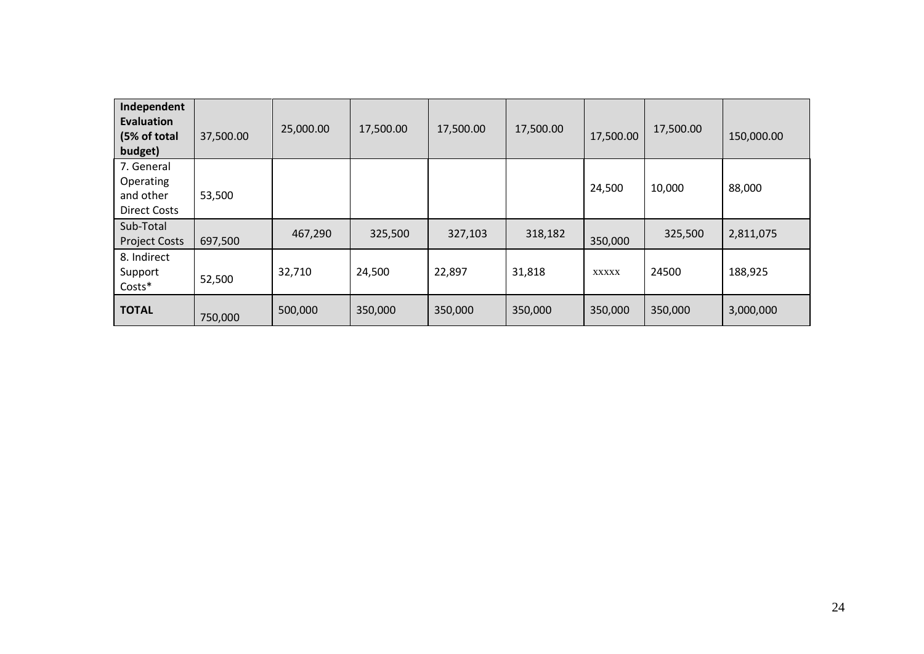| Independent<br>Evaluation<br>(5% of total<br>budget)        | 37,500.00 | 25,000.00 | 17,500.00 | 17,500.00 | 17,500.00 | 17,500.00    | 17,500.00 | 150,000.00 |
|-------------------------------------------------------------|-----------|-----------|-----------|-----------|-----------|--------------|-----------|------------|
| 7. General<br>Operating<br>and other<br><b>Direct Costs</b> | 53,500    |           |           |           |           | 24,500       | 10,000    | 88,000     |
| Sub-Total<br><b>Project Costs</b>                           | 697,500   | 467,290   | 325,500   | 327,103   | 318,182   | 350,000      | 325,500   | 2,811,075  |
| 8. Indirect<br>Support<br>Costs*                            | 52,500    | 32,710    | 24,500    | 22,897    | 31,818    | <b>XXXXX</b> | 24500     | 188,925    |
| <b>TOTAL</b>                                                | 750,000   | 500,000   | 350,000   | 350,000   | 350,000   | 350,000      | 350,000   | 3,000,000  |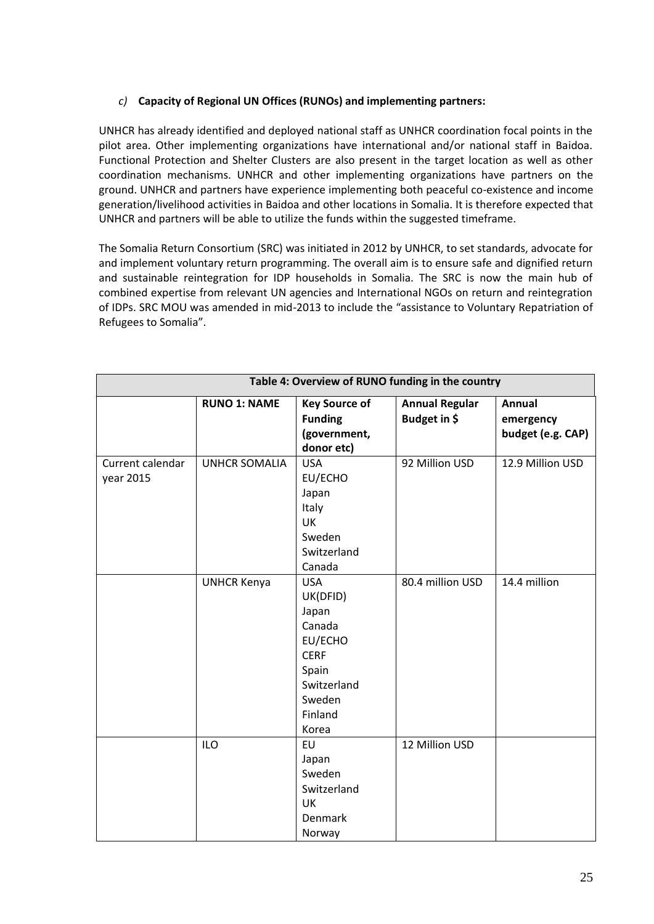## *c)* **Capacity of Regional UN Offices (RUNOs) and implementing partners:**

UNHCR has already identified and deployed national staff as UNHCR coordination focal points in the pilot area. Other implementing organizations have international and/or national staff in Baidoa. Functional Protection and Shelter Clusters are also present in the target location as well as other coordination mechanisms. UNHCR and other implementing organizations have partners on the ground. UNHCR and partners have experience implementing both peaceful co-existence and income generation/livelihood activities in Baidoa and other locations in Somalia. It is therefore expected that UNHCR and partners will be able to utilize the funds within the suggested timeframe.

The Somalia Return Consortium (SRC) was initiated in 2012 by UNHCR, to set standards, advocate for and implement voluntary return programming. The overall aim is to ensure safe and dignified return and sustainable reintegration for IDP households in Somalia. The SRC is now the main hub of combined expertise from relevant UN agencies and International NGOs on return and reintegration of IDPs. SRC MOU was amended in mid-2013 to include the "assistance to Voluntary Repatriation of Refugees to Somalia".

|                               | Table 4: Overview of RUNO funding in the country |                                                                                                                           |                                       |                                                 |  |  |  |
|-------------------------------|--------------------------------------------------|---------------------------------------------------------------------------------------------------------------------------|---------------------------------------|-------------------------------------------------|--|--|--|
|                               | <b>RUNO 1: NAME</b>                              | <b>Key Source of</b><br><b>Funding</b><br>(government,<br>donor etc)                                                      | <b>Annual Regular</b><br>Budget in \$ | <b>Annual</b><br>emergency<br>budget (e.g. CAP) |  |  |  |
| Current calendar<br>year 2015 | <b>UNHCR SOMALIA</b>                             | <b>USA</b><br>EU/ECHO<br>Japan<br>Italy<br>UK<br>Sweden<br>Switzerland<br>Canada                                          | 92 Million USD                        | 12.9 Million USD                                |  |  |  |
|                               | <b>UNHCR Kenya</b>                               | <b>USA</b><br>UK(DFID)<br>Japan<br>Canada<br>EU/ECHO<br><b>CERF</b><br>Spain<br>Switzerland<br>Sweden<br>Finland<br>Korea | 80.4 million USD                      | 14.4 million                                    |  |  |  |
|                               | <b>ILO</b>                                       | EU<br>Japan<br>Sweden<br>Switzerland<br>UK<br>Denmark<br>Norway                                                           | 12 Million USD                        |                                                 |  |  |  |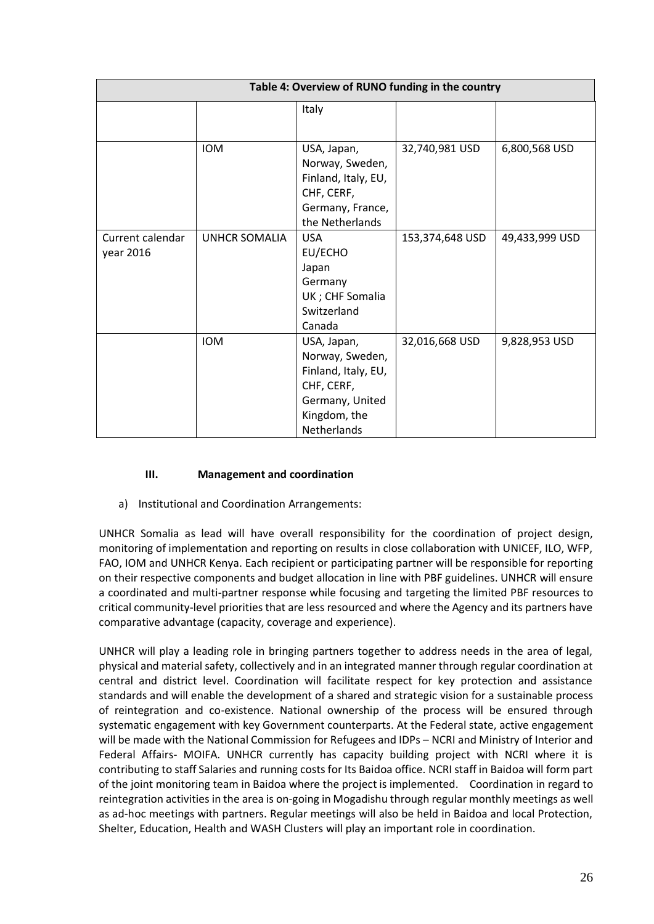|                  | Table 4: Overview of RUNO funding in the country |                     |                 |                |  |  |  |  |  |
|------------------|--------------------------------------------------|---------------------|-----------------|----------------|--|--|--|--|--|
|                  |                                                  | Italy               |                 |                |  |  |  |  |  |
|                  |                                                  |                     |                 |                |  |  |  |  |  |
|                  | <b>IOM</b>                                       | USA, Japan,         | 32,740,981 USD  | 6,800,568 USD  |  |  |  |  |  |
|                  |                                                  | Norway, Sweden,     |                 |                |  |  |  |  |  |
|                  |                                                  | Finland, Italy, EU, |                 |                |  |  |  |  |  |
|                  |                                                  | CHF, CERF,          |                 |                |  |  |  |  |  |
|                  |                                                  | Germany, France,    |                 |                |  |  |  |  |  |
|                  |                                                  | the Netherlands     |                 |                |  |  |  |  |  |
| Current calendar | UNHCR SOMALIA                                    | <b>USA</b>          | 153,374,648 USD | 49,433,999 USD |  |  |  |  |  |
| year 2016        |                                                  | EU/ECHO             |                 |                |  |  |  |  |  |
|                  |                                                  | Japan               |                 |                |  |  |  |  |  |
|                  |                                                  | Germany             |                 |                |  |  |  |  |  |
|                  |                                                  | UK ; CHF Somalia    |                 |                |  |  |  |  |  |
|                  |                                                  | Switzerland         |                 |                |  |  |  |  |  |
|                  |                                                  | Canada              |                 |                |  |  |  |  |  |
|                  | <b>IOM</b>                                       | USA, Japan,         | 32,016,668 USD  | 9,828,953 USD  |  |  |  |  |  |
|                  |                                                  | Norway, Sweden,     |                 |                |  |  |  |  |  |
|                  |                                                  | Finland, Italy, EU, |                 |                |  |  |  |  |  |
|                  |                                                  | CHF, CERF,          |                 |                |  |  |  |  |  |
|                  |                                                  | Germany, United     |                 |                |  |  |  |  |  |
|                  |                                                  | Kingdom, the        |                 |                |  |  |  |  |  |
|                  |                                                  | Netherlands         |                 |                |  |  |  |  |  |

### **III. Management and coordination**

a) Institutional and Coordination Arrangements:

UNHCR Somalia as lead will have overall responsibility for the coordination of project design, monitoring of implementation and reporting on results in close collaboration with UNICEF, ILO, WFP, FAO, IOM and UNHCR Kenya. Each recipient or participating partner will be responsible for reporting on their respective components and budget allocation in line with PBF guidelines. UNHCR will ensure a coordinated and multi-partner response while focusing and targeting the limited PBF resources to critical community-level priorities that are less resourced and where the Agency and its partners have comparative advantage (capacity, coverage and experience).

UNHCR will play a leading role in bringing partners together to address needs in the area of legal, physical and material safety, collectively and in an integrated manner through regular coordination at central and district level. Coordination will facilitate respect for key protection and assistance standards and will enable the development of a shared and strategic vision for a sustainable process of reintegration and co-existence. National ownership of the process will be ensured through systematic engagement with key Government counterparts. At the Federal state, active engagement will be made with the National Commission for Refugees and IDPs – NCRI and Ministry of Interior and Federal Affairs- MOIFA. UNHCR currently has capacity building project with NCRI where it is contributing to staff Salaries and running costs for Its Baidoa office. NCRI staff in Baidoa will form part of the joint monitoring team in Baidoa where the project is implemented. Coordination in regard to reintegration activities in the area is on-going in Mogadishu through regular monthly meetings as well as ad-hoc meetings with partners. Regular meetings will also be held in Baidoa and local Protection, Shelter, Education, Health and WASH Clusters will play an important role in coordination.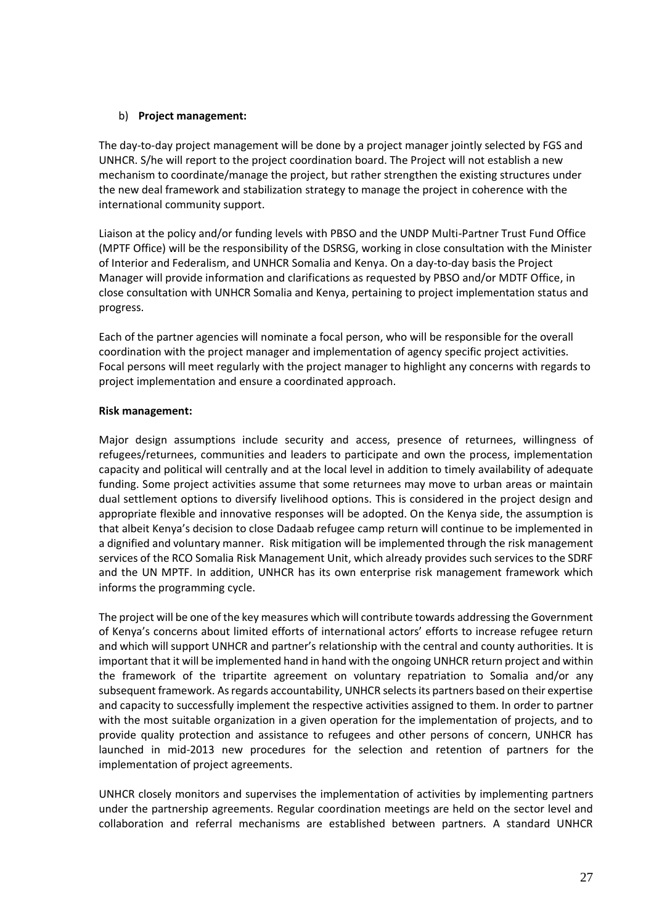#### b) **Project management:**

The day-to-day project management will be done by a project manager jointly selected by FGS and UNHCR. S/he will report to the project coordination board. The Project will not establish a new mechanism to coordinate/manage the project, but rather strengthen the existing structures under the new deal framework and stabilization strategy to manage the project in coherence with the international community support.

Liaison at the policy and/or funding levels with PBSO and the UNDP Multi-Partner Trust Fund Office (MPTF Office) will be the responsibility of the DSRSG, working in close consultation with the Minister of Interior and Federalism, and UNHCR Somalia and Kenya. On a day-to-day basis the Project Manager will provide information and clarifications as requested by PBSO and/or MDTF Office, in close consultation with UNHCR Somalia and Kenya, pertaining to project implementation status and progress.

Each of the partner agencies will nominate a focal person, who will be responsible for the overall coordination with the project manager and implementation of agency specific project activities. Focal persons will meet regularly with the project manager to highlight any concerns with regards to project implementation and ensure a coordinated approach.

### **Risk management:**

Major design assumptions include security and access, presence of returnees, willingness of refugees/returnees, communities and leaders to participate and own the process, implementation capacity and political will centrally and at the local level in addition to timely availability of adequate funding. Some project activities assume that some returnees may move to urban areas or maintain dual settlement options to diversify livelihood options. This is considered in the project design and appropriate flexible and innovative responses will be adopted. On the Kenya side, the assumption is that albeit Kenya's decision to close Dadaab refugee camp return will continue to be implemented in a dignified and voluntary manner. Risk mitigation will be implemented through the risk management services of the RCO Somalia Risk Management Unit, which already provides such services to the SDRF and the UN MPTF. In addition, UNHCR has its own enterprise risk management framework which informs the programming cycle.

The project will be one of the key measures which will contribute towards addressing the Government of Kenya's concerns about limited efforts of international actors' efforts to increase refugee return and which will support UNHCR and partner's relationship with the central and county authorities. It is important that it will be implemented hand in hand with the ongoing UNHCR return project and within the framework of the tripartite agreement on voluntary repatriation to Somalia and/or any subsequent framework. As regards accountability, UNHCR selects its partners based on their expertise and capacity to successfully implement the respective activities assigned to them. In order to partner with the most suitable organization in a given operation for the implementation of projects, and to provide quality protection and assistance to refugees and other persons of concern, UNHCR has launched in mid-2013 new procedures for the selection and retention of partners for the implementation of project agreements.

UNHCR closely monitors and supervises the implementation of activities by implementing partners under the partnership agreements. Regular coordination meetings are held on the sector level and collaboration and referral mechanisms are established between partners. A standard UNHCR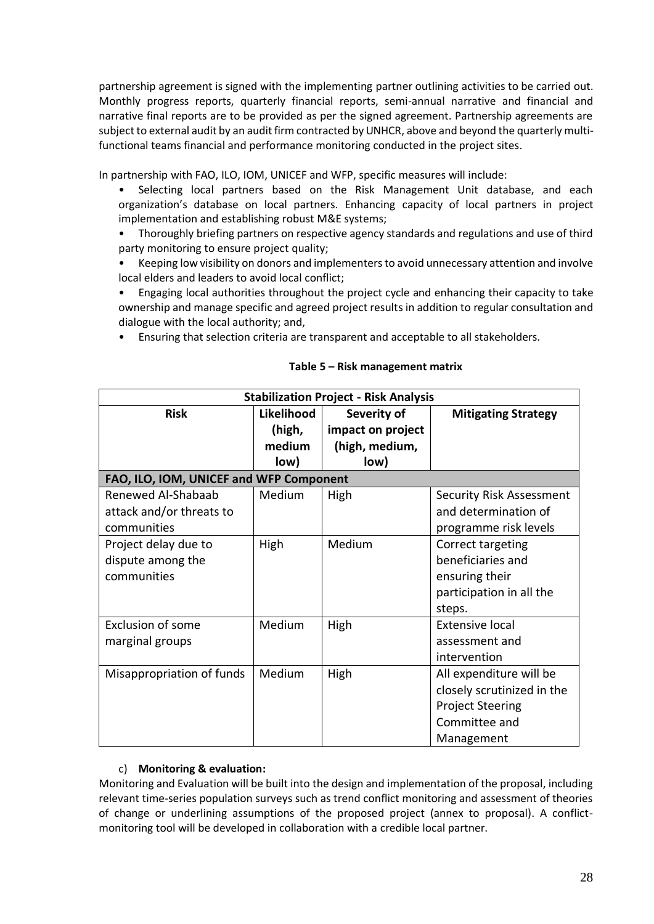partnership agreement is signed with the implementing partner outlining activities to be carried out. Monthly progress reports, quarterly financial reports, semi-annual narrative and financial and narrative final reports are to be provided as per the signed agreement. Partnership agreements are subject to external audit by an audit firm contracted by UNHCR, above and beyond the quarterly multifunctional teams financial and performance monitoring conducted in the project sites.

In partnership with FAO, ILO, IOM, UNICEF and WFP, specific measures will include:

- Selecting local partners based on the Risk Management Unit database, and each organization's database on local partners. Enhancing capacity of local partners in project implementation and establishing robust M&E systems;
- Thoroughly briefing partners on respective agency standards and regulations and use of third party monitoring to ensure project quality;
- Keeping low visibility on donors and implementers to avoid unnecessary attention and involve local elders and leaders to avoid local conflict;
- Engaging local authorities throughout the project cycle and enhancing their capacity to take ownership and manage specific and agreed project results in addition to regular consultation and dialogue with the local authority; and,
- Ensuring that selection criteria are transparent and acceptable to all stakeholders.

| <b>Stabilization Project - Risk Analysis</b> |            |                   |                                 |  |  |  |  |  |  |
|----------------------------------------------|------------|-------------------|---------------------------------|--|--|--|--|--|--|
| <b>Risk</b>                                  | Likelihood | Severity of       | <b>Mitigating Strategy</b>      |  |  |  |  |  |  |
|                                              | (high,     | impact on project |                                 |  |  |  |  |  |  |
|                                              | medium     | (high, medium,    |                                 |  |  |  |  |  |  |
|                                              | low)       | low)              |                                 |  |  |  |  |  |  |
| FAO, ILO, IOM, UNICEF and WFP Component      |            |                   |                                 |  |  |  |  |  |  |
| Renewed Al-Shabaab                           | Medium     | High              | <b>Security Risk Assessment</b> |  |  |  |  |  |  |
| attack and/or threats to                     |            |                   | and determination of            |  |  |  |  |  |  |
| communities                                  |            |                   | programme risk levels           |  |  |  |  |  |  |
| Project delay due to                         | High       | Medium            | Correct targeting               |  |  |  |  |  |  |
| dispute among the                            |            |                   | beneficiaries and               |  |  |  |  |  |  |
| communities                                  |            |                   | ensuring their                  |  |  |  |  |  |  |
|                                              |            |                   | participation in all the        |  |  |  |  |  |  |
|                                              |            |                   | steps.                          |  |  |  |  |  |  |
| <b>Exclusion of some</b>                     | Medium     | High              | <b>Extensive local</b>          |  |  |  |  |  |  |
| marginal groups                              |            |                   | assessment and                  |  |  |  |  |  |  |
|                                              |            |                   | intervention                    |  |  |  |  |  |  |
| Misappropriation of funds                    | Medium     | High              | All expenditure will be         |  |  |  |  |  |  |
|                                              |            |                   | closely scrutinized in the      |  |  |  |  |  |  |
|                                              |            |                   | <b>Project Steering</b>         |  |  |  |  |  |  |
|                                              |            |                   | Committee and                   |  |  |  |  |  |  |
|                                              |            |                   | Management                      |  |  |  |  |  |  |

#### **Table 5 – Risk management matrix**

#### c) **Monitoring & evaluation:**

Monitoring and Evaluation will be built into the design and implementation of the proposal, including relevant time-series population surveys such as trend conflict monitoring and assessment of theories of change or underlining assumptions of the proposed project (annex to proposal). A conflictmonitoring tool will be developed in collaboration with a credible local partner.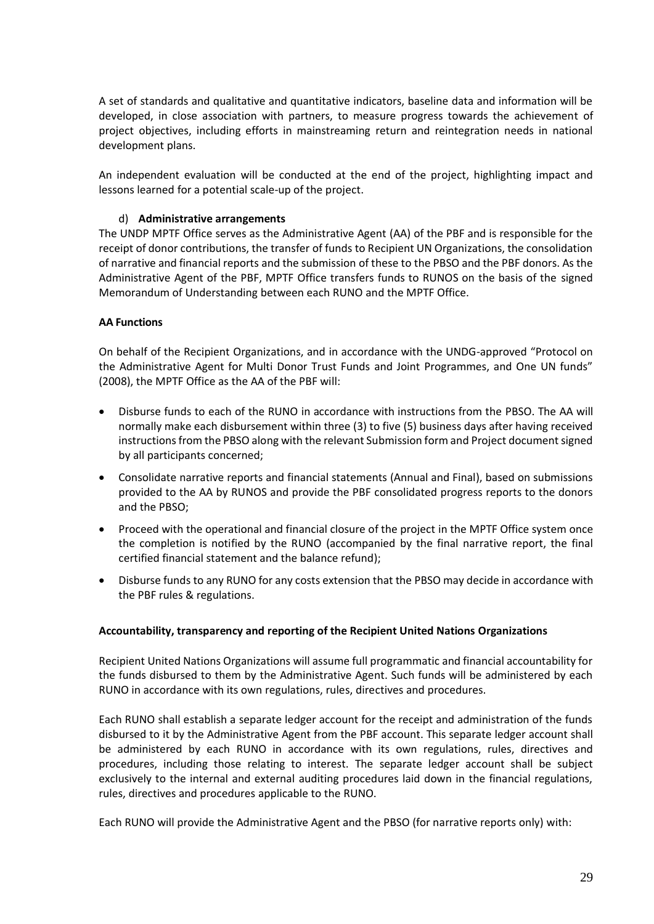A set of standards and qualitative and quantitative indicators, baseline data and information will be developed, in close association with partners, to measure progress towards the achievement of project objectives, including efforts in mainstreaming return and reintegration needs in national development plans.

An independent evaluation will be conducted at the end of the project, highlighting impact and lessons learned for a potential scale-up of the project.

#### d) **Administrative arrangements**

The UNDP MPTF Office serves as the Administrative Agent (AA) of the PBF and is responsible for the receipt of donor contributions, the transfer of funds to Recipient UN Organizations, the consolidation of narrative and financial reports and the submission of these to the PBSO and the PBF donors. As the Administrative Agent of the PBF, MPTF Office transfers funds to RUNOS on the basis of the [signed](http://mptf.undp.org/document/download/10425)  [Memorandum of Understanding](http://mptf.undp.org/document/download/10425) between each RUNO and the MPTF Office.

### **AA Functions**

On behalf of the Recipient Organizations, and in accordance with the UNDG-approved "Protocol on the Administrative Agent for Multi Donor Trust Funds and Joint Programmes, and One UN funds" (2008), the MPTF Office as the AA of the PBF will:

- Disburse funds to each of the RUNO in accordance with instructions from the PBSO. The AA will normally make each disbursement within three (3) to five (5) business days after having received instructions from the PBSO along with the relevant Submission form and Project document signed by all participants concerned;
- Consolidate narrative reports and financial statements (Annual and Final), based on submissions provided to the AA by RUNOS and provide the PBF consolidated progress reports to the donors and the PBSO;
- Proceed with the operational and financial closure of the project in the MPTF Office system once the completion is notified by the RUNO (accompanied by the final narrative report, the final certified financial statement and the balance refund);
- Disburse funds to any RUNO for any costs extension that the PBSO may decide in accordance with the PBF rules & regulations.

#### **Accountability, transparency and reporting of the Recipient United Nations Organizations**

Recipient United Nations Organizations will assume full programmatic and financial accountability for the funds disbursed to them by the Administrative Agent. Such funds will be administered by each RUNO in accordance with its own regulations, rules, directives and procedures.

Each RUNO shall establish a separate ledger account for the receipt and administration of the funds disbursed to it by the Administrative Agent from the PBF account. This separate ledger account shall be administered by each RUNO in accordance with its own regulations, rules, directives and procedures, including those relating to interest. The separate ledger account shall be subject exclusively to the internal and external auditing procedures laid down in the financial regulations, rules, directives and procedures applicable to the RUNO.

Each RUNO will provide the Administrative Agent and the PBSO (for narrative reports only) with: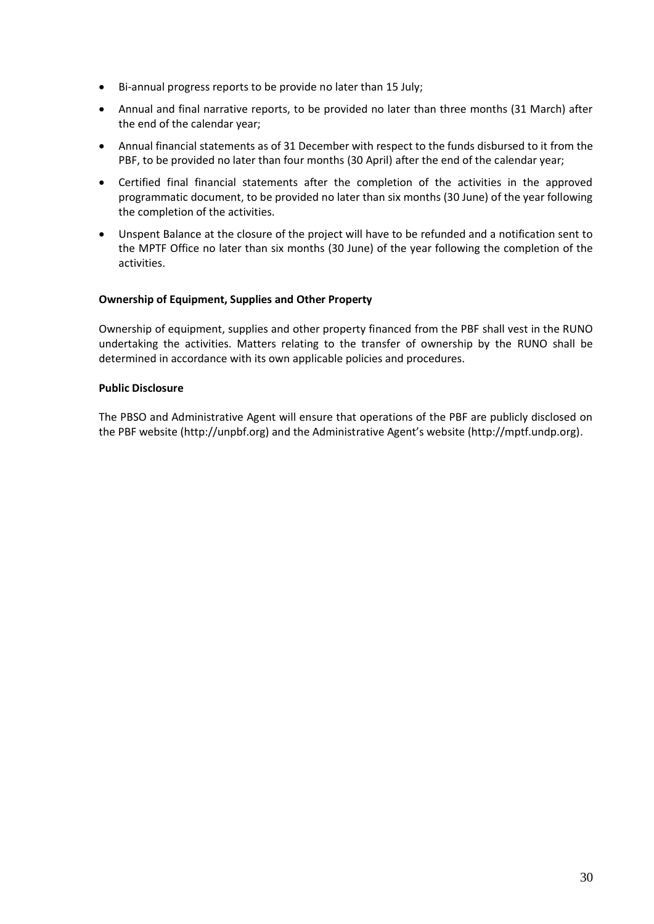- Bi-annual progress reports to be provide no later than 15 July;
- Annual and final narrative reports, to be provided no later than three months (31 March) after the end of the calendar year;
- Annual financial statements as of 31 December with respect to the funds disbursed to it from the PBF, to be provided no later than four months (30 April) after the end of the calendar year;
- Certified final financial statements after the completion of the activities in the approved programmatic document, to be provided no later than six months (30 June) of the year following the completion of the activities.
- Unspent Balance at the closure of the project will have to be refunded and a notification sent to the MPTF Office no later than six months (30 June) of the year following the completion of the activities.

### **Ownership of Equipment, Supplies and Other Property**

Ownership of equipment, supplies and other property financed from the PBF shall vest in the RUNO undertaking the activities. Matters relating to the transfer of ownership by the RUNO shall be determined in accordance with its own applicable policies and procedures.

#### **Public Disclosure**

The PBSO and Administrative Agent will ensure that operations of the PBF are publicly disclosed on the PBF website (http://unpbf.org) and the Administrative Agent's website (http://mptf.undp.org).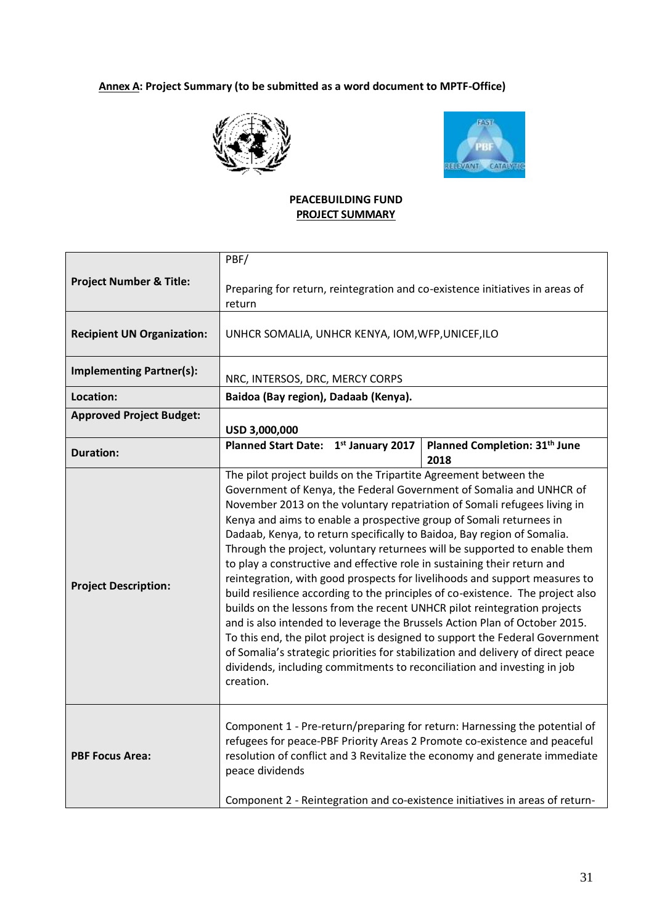# **Annex A: Project Summary (to be submitted as a word document to MPTF-Office)**





### **PEACEBUILDING FUND PROJECT SUMMARY**

| <b>Project Number &amp; Title:</b>                                                                                                                                                                                                                                                 | PBF/<br>Preparing for return, reintegration and co-existence initiatives in areas of<br>return                                                                                                                                                                                                                                                                                                                                                                                                                                                                                                                                                                                                                                                                                                                                                                                                                                                                                                                                                                                                                       |                                                   |  |  |  |  |  |  |  |
|------------------------------------------------------------------------------------------------------------------------------------------------------------------------------------------------------------------------------------------------------------------------------------|----------------------------------------------------------------------------------------------------------------------------------------------------------------------------------------------------------------------------------------------------------------------------------------------------------------------------------------------------------------------------------------------------------------------------------------------------------------------------------------------------------------------------------------------------------------------------------------------------------------------------------------------------------------------------------------------------------------------------------------------------------------------------------------------------------------------------------------------------------------------------------------------------------------------------------------------------------------------------------------------------------------------------------------------------------------------------------------------------------------------|---------------------------------------------------|--|--|--|--|--|--|--|
|                                                                                                                                                                                                                                                                                    |                                                                                                                                                                                                                                                                                                                                                                                                                                                                                                                                                                                                                                                                                                                                                                                                                                                                                                                                                                                                                                                                                                                      |                                                   |  |  |  |  |  |  |  |
| <b>Recipient UN Organization:</b>                                                                                                                                                                                                                                                  | UNHCR SOMALIA, UNHCR KENYA, IOM, WFP, UNICEF, ILO                                                                                                                                                                                                                                                                                                                                                                                                                                                                                                                                                                                                                                                                                                                                                                                                                                                                                                                                                                                                                                                                    |                                                   |  |  |  |  |  |  |  |
| <b>Implementing Partner(s):</b>                                                                                                                                                                                                                                                    | NRC, INTERSOS, DRC, MERCY CORPS                                                                                                                                                                                                                                                                                                                                                                                                                                                                                                                                                                                                                                                                                                                                                                                                                                                                                                                                                                                                                                                                                      |                                                   |  |  |  |  |  |  |  |
| Location:                                                                                                                                                                                                                                                                          | Baidoa (Bay region), Dadaab (Kenya).                                                                                                                                                                                                                                                                                                                                                                                                                                                                                                                                                                                                                                                                                                                                                                                                                                                                                                                                                                                                                                                                                 |                                                   |  |  |  |  |  |  |  |
| <b>Approved Project Budget:</b>                                                                                                                                                                                                                                                    | USD 3,000,000                                                                                                                                                                                                                                                                                                                                                                                                                                                                                                                                                                                                                                                                                                                                                                                                                                                                                                                                                                                                                                                                                                        |                                                   |  |  |  |  |  |  |  |
| <b>Duration:</b>                                                                                                                                                                                                                                                                   | 1st January 2017<br><b>Planned Start Date:</b>                                                                                                                                                                                                                                                                                                                                                                                                                                                                                                                                                                                                                                                                                                                                                                                                                                                                                                                                                                                                                                                                       | Planned Completion: 31 <sup>th</sup> June<br>2018 |  |  |  |  |  |  |  |
| <b>Project Description:</b>                                                                                                                                                                                                                                                        | The pilot project builds on the Tripartite Agreement between the<br>Government of Kenya, the Federal Government of Somalia and UNHCR of<br>November 2013 on the voluntary repatriation of Somali refugees living in<br>Kenya and aims to enable a prospective group of Somali returnees in<br>Dadaab, Kenya, to return specifically to Baidoa, Bay region of Somalia.<br>Through the project, voluntary returnees will be supported to enable them<br>to play a constructive and effective role in sustaining their return and<br>reintegration, with good prospects for livelihoods and support measures to<br>build resilience according to the principles of co-existence. The project also<br>builds on the lessons from the recent UNHCR pilot reintegration projects<br>and is also intended to leverage the Brussels Action Plan of October 2015.<br>To this end, the pilot project is designed to support the Federal Government<br>of Somalia's strategic priorities for stabilization and delivery of direct peace<br>dividends, including commitments to reconciliation and investing in job<br>creation. |                                                   |  |  |  |  |  |  |  |
| Component 1 - Pre-return/preparing for return: Harnessing the potential of<br>refugees for peace-PBF Priority Areas 2 Promote co-existence and peaceful<br>resolution of conflict and 3 Revitalize the economy and generate immediate<br><b>PBF Focus Area:</b><br>peace dividends |                                                                                                                                                                                                                                                                                                                                                                                                                                                                                                                                                                                                                                                                                                                                                                                                                                                                                                                                                                                                                                                                                                                      |                                                   |  |  |  |  |  |  |  |
|                                                                                                                                                                                                                                                                                    | Component 2 - Reintegration and co-existence initiatives in areas of return-                                                                                                                                                                                                                                                                                                                                                                                                                                                                                                                                                                                                                                                                                                                                                                                                                                                                                                                                                                                                                                         |                                                   |  |  |  |  |  |  |  |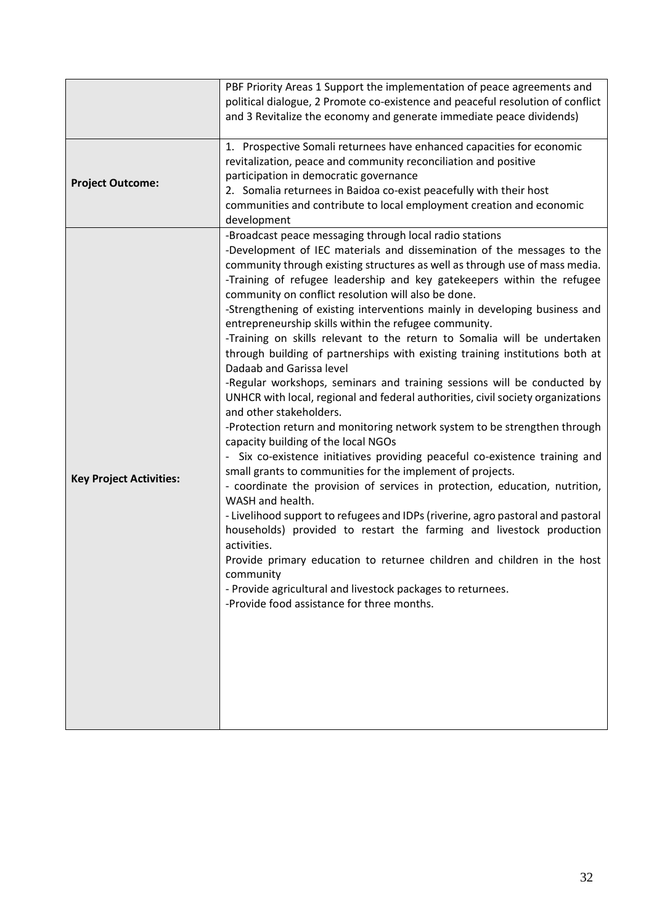|                                | PBF Priority Areas 1 Support the implementation of peace agreements and<br>political dialogue, 2 Promote co-existence and peaceful resolution of conflict<br>and 3 Revitalize the economy and generate immediate peace dividends)                                                                                                                                                                                                                                                                                                                                                                                                                                                                                                                                                                                                                                                                                                                                                                                                                                                                                                                                                                                                                                                                                                                                                                                                                                                                                                                                                                                            |
|--------------------------------|------------------------------------------------------------------------------------------------------------------------------------------------------------------------------------------------------------------------------------------------------------------------------------------------------------------------------------------------------------------------------------------------------------------------------------------------------------------------------------------------------------------------------------------------------------------------------------------------------------------------------------------------------------------------------------------------------------------------------------------------------------------------------------------------------------------------------------------------------------------------------------------------------------------------------------------------------------------------------------------------------------------------------------------------------------------------------------------------------------------------------------------------------------------------------------------------------------------------------------------------------------------------------------------------------------------------------------------------------------------------------------------------------------------------------------------------------------------------------------------------------------------------------------------------------------------------------------------------------------------------------|
| <b>Project Outcome:</b>        | 1. Prospective Somali returnees have enhanced capacities for economic<br>revitalization, peace and community reconciliation and positive<br>participation in democratic governance<br>2. Somalia returnees in Baidoa co-exist peacefully with their host<br>communities and contribute to local employment creation and economic<br>development                                                                                                                                                                                                                                                                                                                                                                                                                                                                                                                                                                                                                                                                                                                                                                                                                                                                                                                                                                                                                                                                                                                                                                                                                                                                              |
| <b>Key Project Activities:</b> | -Broadcast peace messaging through local radio stations<br>-Development of IEC materials and dissemination of the messages to the<br>community through existing structures as well as through use of mass media.<br>-Training of refugee leadership and key gatekeepers within the refugee<br>community on conflict resolution will also be done.<br>-Strengthening of existing interventions mainly in developing business and<br>entrepreneurship skills within the refugee community.<br>-Training on skills relevant to the return to Somalia will be undertaken<br>through building of partnerships with existing training institutions both at<br>Dadaab and Garissa level<br>-Regular workshops, seminars and training sessions will be conducted by<br>UNHCR with local, regional and federal authorities, civil society organizations<br>and other stakeholders.<br>-Protection return and monitoring network system to be strengthen through<br>capacity building of the local NGOs<br>- Six co-existence initiatives providing peaceful co-existence training and<br>small grants to communities for the implement of projects.<br>- coordinate the provision of services in protection, education, nutrition,<br>WASH and health.<br>- Livelihood support to refugees and IDPs (riverine, agro pastoral and pastoral<br>households) provided to restart the farming and livestock production<br>activities.<br>Provide primary education to returnee children and children in the host<br>community<br>- Provide agricultural and livestock packages to returnees.<br>-Provide food assistance for three months. |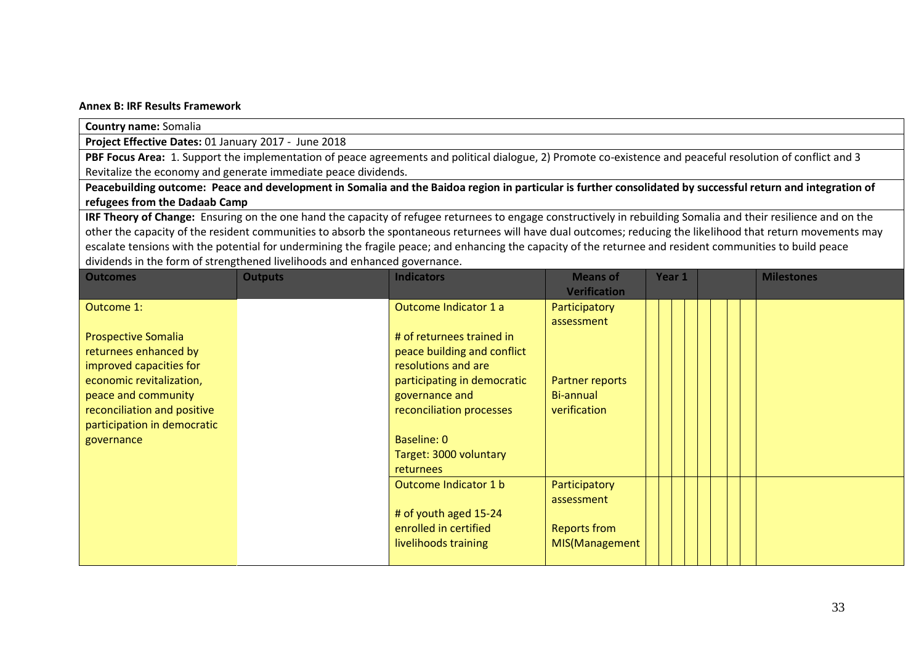#### **Annex B: IRF Results Framework**

**Country name:** Somalia

**Project Effective Dates:** 01 January 2017 - June 2018

PBF Focus Area: 1. Support the implementation of peace agreements and political dialogue, 2) Promote co-existence and peaceful resolution of conflict and 3 Revitalize the economy and generate immediate peace dividends.

**Peacebuilding outcome: Peace and development in Somalia and the Baidoa region in particular is further consolidated by successful return and integration of refugees from the Dadaab Camp**

**IRF Theory of Change:** Ensuring on the one hand the capacity of refugee returnees to engage constructively in rebuilding Somalia and their resilience and on the other the capacity of the resident communities to absorb the spontaneous returnees will have dual outcomes; reducing the likelihood that return movements may escalate tensions with the potential for undermining the fragile peace; and enhancing the capacity of the returnee and resident communities to build peace dividends in the form of strengthened livelihoods and enhanced governance.

| <b>Outcomes</b>             | <b>Outputs</b> | <b>Indicators</b>           | <b>Means of</b><br><b>Verification</b> | Year 1 | <b>Milestones</b> |
|-----------------------------|----------------|-----------------------------|----------------------------------------|--------|-------------------|
| Outcome 1:                  |                | Outcome Indicator 1 a       | Participatory<br>assessment            |        |                   |
| <b>Prospective Somalia</b>  |                | # of returnees trained in   |                                        |        |                   |
| returnees enhanced by       |                | peace building and conflict |                                        |        |                   |
| improved capacities for     |                | resolutions and are         |                                        |        |                   |
| economic revitalization,    |                | participating in democratic | Partner reports                        |        |                   |
| peace and community         |                | governance and              | Bi-annual                              |        |                   |
| reconciliation and positive |                | reconciliation processes    | verification                           |        |                   |
| participation in democratic |                |                             |                                        |        |                   |
| governance                  |                | <b>Baseline: 0</b>          |                                        |        |                   |
|                             |                | Target: 3000 voluntary      |                                        |        |                   |
|                             |                | <b>returnees</b>            |                                        |        |                   |
|                             |                | Outcome Indicator 1 b       | Participatory                          |        |                   |
|                             |                |                             | assessment                             |        |                   |
|                             |                | # of youth aged 15-24       |                                        |        |                   |
|                             |                | enrolled in certified       | <b>Reports from</b>                    |        |                   |
|                             |                | livelihoods training        | MIS(Management                         |        |                   |
|                             |                |                             |                                        |        |                   |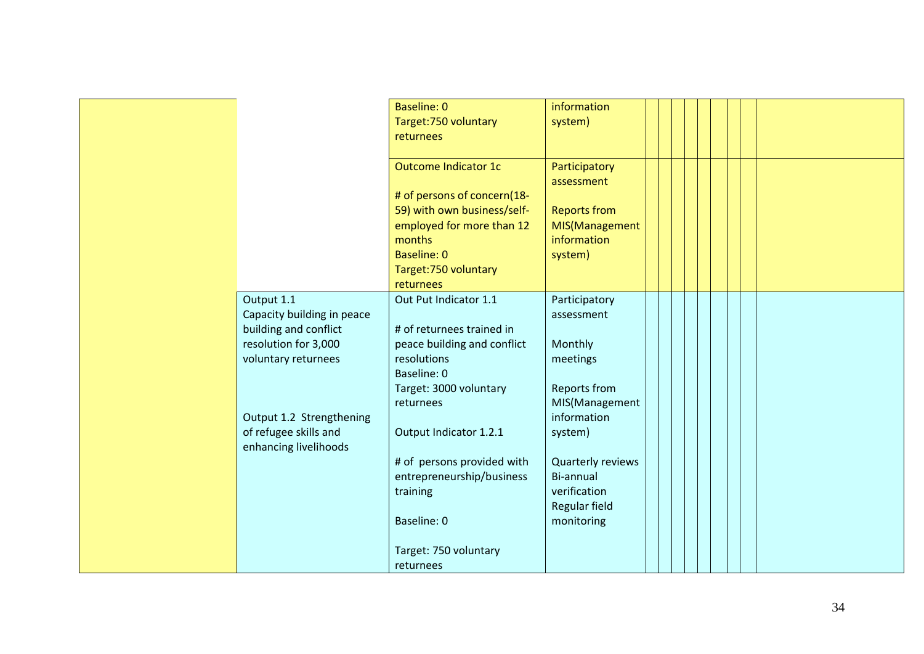|                            | <b>Baseline: 0</b>          | information         |  |  |
|----------------------------|-----------------------------|---------------------|--|--|
|                            | Target: 750 voluntary       | system)             |  |  |
|                            | returnees                   |                     |  |  |
|                            |                             |                     |  |  |
|                            | Outcome Indicator 1c        | Participatory       |  |  |
|                            |                             | assessment          |  |  |
|                            | # of persons of concern(18- |                     |  |  |
|                            | 59) with own business/self- | <b>Reports from</b> |  |  |
|                            | employed for more than 12   | MIS(Management      |  |  |
|                            | months                      | information         |  |  |
|                            | <b>Baseline: 0</b>          | system)             |  |  |
|                            | Target: 750 voluntary       |                     |  |  |
|                            | returnees                   |                     |  |  |
| Output 1.1                 | Out Put Indicator 1.1       | Participatory       |  |  |
| Capacity building in peace |                             | assessment          |  |  |
| building and conflict      | # of returnees trained in   |                     |  |  |
| resolution for 3,000       | peace building and conflict | Monthly             |  |  |
| voluntary returnees        | resolutions                 | meetings            |  |  |
|                            | Baseline: 0                 |                     |  |  |
|                            | Target: 3000 voluntary      | Reports from        |  |  |
|                            | returnees                   | MIS(Management      |  |  |
| Output 1.2 Strengthening   |                             | information         |  |  |
| of refugee skills and      | Output Indicator 1.2.1      | system)             |  |  |
| enhancing livelihoods      |                             |                     |  |  |
|                            | # of persons provided with  | Quarterly reviews   |  |  |
|                            | entrepreneurship/business   | Bi-annual           |  |  |
|                            | training                    | verification        |  |  |
|                            |                             | Regular field       |  |  |
|                            | Baseline: 0                 | monitoring          |  |  |
|                            |                             |                     |  |  |
|                            | Target: 750 voluntary       |                     |  |  |
|                            | returnees                   |                     |  |  |
|                            |                             |                     |  |  |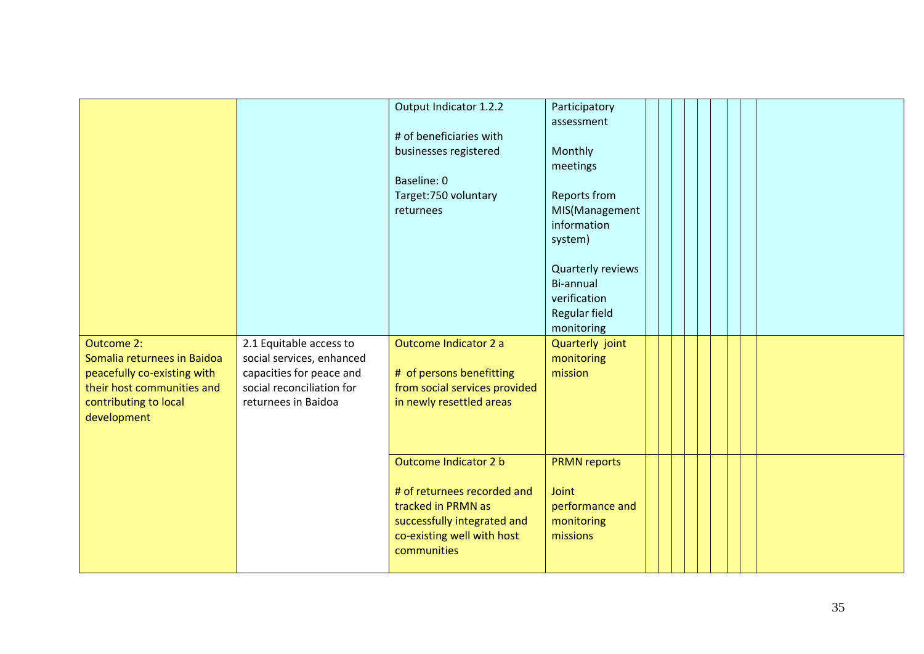|                             |                           | Output Indicator 1.2.2        | Participatory       |  |  |  |
|-----------------------------|---------------------------|-------------------------------|---------------------|--|--|--|
|                             |                           |                               | assessment          |  |  |  |
|                             |                           | # of beneficiaries with       |                     |  |  |  |
|                             |                           | businesses registered         | Monthly             |  |  |  |
|                             |                           |                               | meetings            |  |  |  |
|                             |                           | Baseline: 0                   |                     |  |  |  |
|                             |                           | Target: 750 voluntary         | <b>Reports from</b> |  |  |  |
|                             |                           | returnees                     | MIS(Management      |  |  |  |
|                             |                           |                               | information         |  |  |  |
|                             |                           |                               | system)             |  |  |  |
|                             |                           |                               | Quarterly reviews   |  |  |  |
|                             |                           |                               | Bi-annual           |  |  |  |
|                             |                           |                               | verification        |  |  |  |
|                             |                           |                               | Regular field       |  |  |  |
|                             |                           |                               | monitoring          |  |  |  |
| <b>Outcome 2:</b>           | 2.1 Equitable access to   | Outcome Indicator 2 a         | Quarterly joint     |  |  |  |
| Somalia returnees in Baidoa | social services, enhanced |                               | monitoring          |  |  |  |
| peacefully co-existing with | capacities for peace and  | # of persons benefitting      | mission             |  |  |  |
| their host communities and  | social reconciliation for | from social services provided |                     |  |  |  |
| contributing to local       | returnees in Baidoa       | in newly resettled areas      |                     |  |  |  |
| development                 |                           |                               |                     |  |  |  |
|                             |                           |                               |                     |  |  |  |
|                             |                           |                               |                     |  |  |  |
|                             |                           | Outcome Indicator 2 b         | <b>PRMN reports</b> |  |  |  |
|                             |                           | # of returnees recorded and   | Joint               |  |  |  |
|                             |                           | tracked in PRMN as            | performance and     |  |  |  |
|                             |                           | successfully integrated and   | monitoring          |  |  |  |
|                             |                           | co-existing well with host    | missions            |  |  |  |
|                             |                           | communities                   |                     |  |  |  |
|                             |                           |                               |                     |  |  |  |
|                             |                           |                               |                     |  |  |  |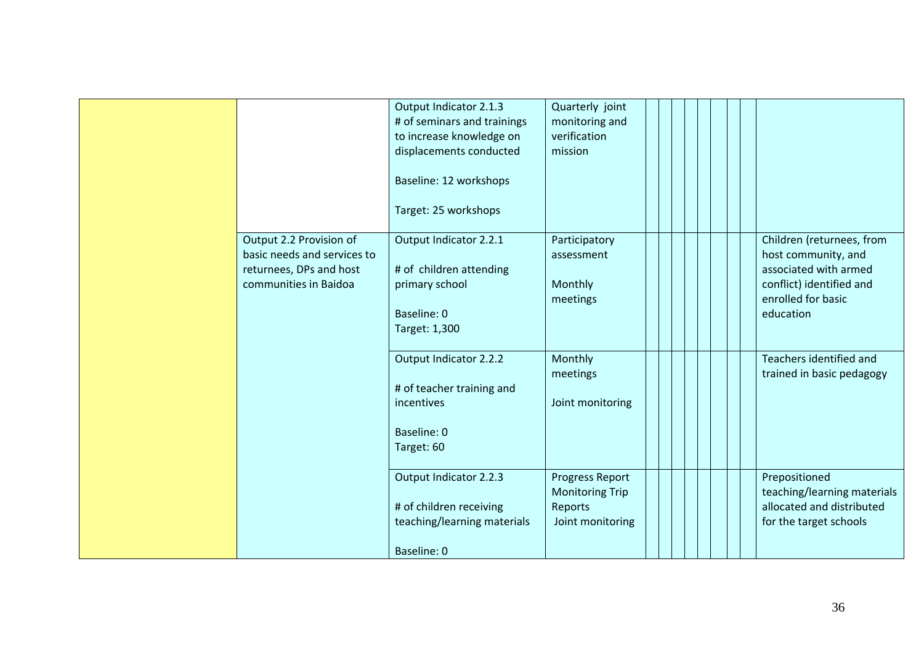|                                                                                                            | Output Indicator 2.1.3<br># of seminars and trainings<br>to increase knowledge on<br>displacements conducted<br>Baseline: 12 workshops<br>Target: 25 workshops | Quarterly joint<br>monitoring and<br>verification<br>mission             |                                                                                                                                          |
|------------------------------------------------------------------------------------------------------------|----------------------------------------------------------------------------------------------------------------------------------------------------------------|--------------------------------------------------------------------------|------------------------------------------------------------------------------------------------------------------------------------------|
| Output 2.2 Provision of<br>basic needs and services to<br>returnees, DPs and host<br>communities in Baidoa | Output Indicator 2.2.1<br># of children attending<br>primary school<br>Baseline: 0<br>Target: 1,300                                                            | Participatory<br>assessment<br>Monthly<br>meetings                       | Children (returnees, from<br>host community, and<br>associated with armed<br>conflict) identified and<br>enrolled for basic<br>education |
|                                                                                                            | Output Indicator 2.2.2<br># of teacher training and<br>incentives<br>Baseline: 0<br>Target: 60                                                                 | Monthly<br>meetings<br>Joint monitoring                                  | Teachers identified and<br>trained in basic pedagogy                                                                                     |
|                                                                                                            | Output Indicator 2.2.3<br># of children receiving<br>teaching/learning materials<br>Baseline: 0                                                                | Progress Report<br><b>Monitoring Trip</b><br>Reports<br>Joint monitoring | Prepositioned<br>teaching/learning materials<br>allocated and distributed<br>for the target schools                                      |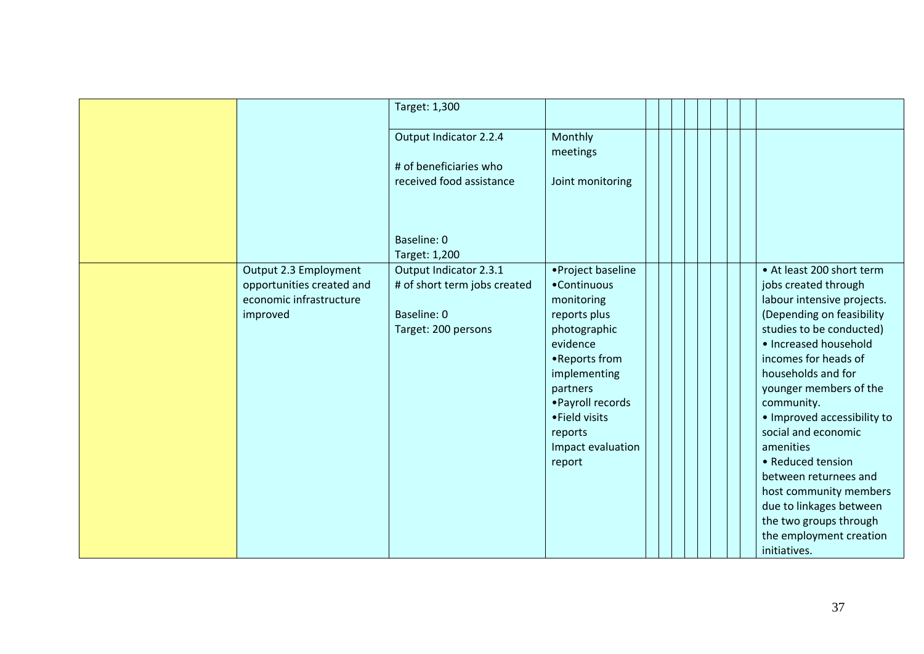|                                                    | Target: 1,300                                          |                                   |  |                                                    |
|----------------------------------------------------|--------------------------------------------------------|-----------------------------------|--|----------------------------------------------------|
|                                                    | Output Indicator 2.2.4                                 | Monthly<br>meetings               |  |                                                    |
|                                                    | # of beneficiaries who                                 |                                   |  |                                                    |
|                                                    | received food assistance                               | Joint monitoring                  |  |                                                    |
|                                                    |                                                        |                                   |  |                                                    |
|                                                    | Baseline: 0                                            |                                   |  |                                                    |
|                                                    | Target: 1,200                                          |                                   |  |                                                    |
| Output 2.3 Employment<br>opportunities created and | Output Indicator 2.3.1<br># of short term jobs created | • Project baseline<br>•Continuous |  | • At least 200 short term<br>jobs created through  |
| economic infrastructure                            |                                                        | monitoring                        |  | labour intensive projects.                         |
| improved                                           | Baseline: 0                                            | reports plus                      |  | (Depending on feasibility                          |
|                                                    | Target: 200 persons                                    | photographic                      |  | studies to be conducted)                           |
|                                                    |                                                        | evidence<br>• Reports from        |  | · Increased household<br>incomes for heads of      |
|                                                    |                                                        | implementing                      |  | households and for                                 |
|                                                    |                                                        | partners                          |  | younger members of the                             |
|                                                    |                                                        | • Payroll records                 |  | community.                                         |
|                                                    |                                                        | • Field visits<br>reports         |  | · Improved accessibility to<br>social and economic |
|                                                    |                                                        | Impact evaluation                 |  | amenities                                          |
|                                                    |                                                        | report                            |  | • Reduced tension                                  |
|                                                    |                                                        |                                   |  | between returnees and                              |
|                                                    |                                                        |                                   |  | host community members<br>due to linkages between  |
|                                                    |                                                        |                                   |  | the two groups through                             |
|                                                    |                                                        |                                   |  | the employment creation                            |
|                                                    |                                                        |                                   |  | initiatives.                                       |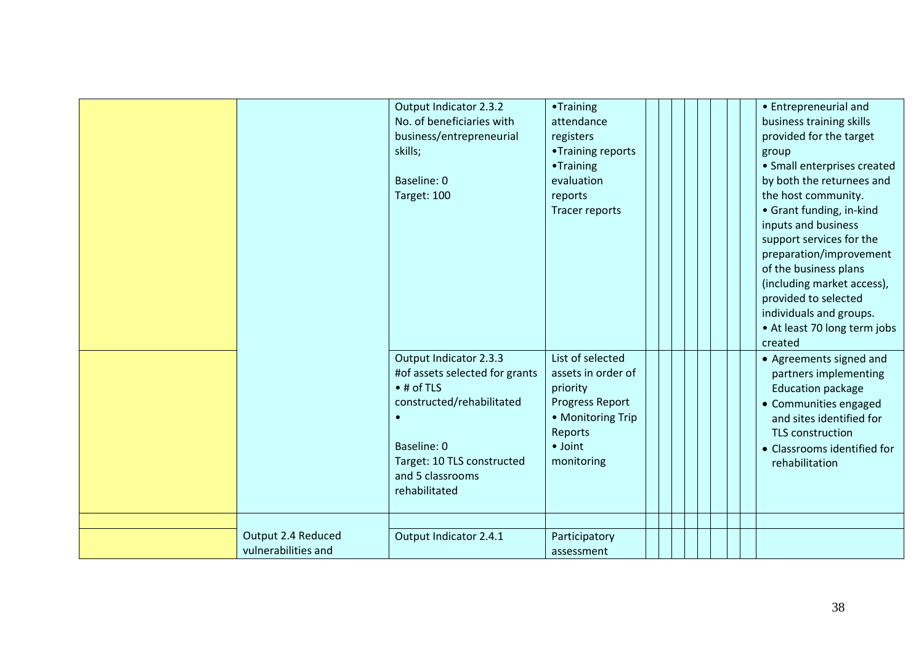|                                           | Output Indicator 2.3.2<br>No. of beneficiaries with<br>business/entrepreneurial<br>skills;<br>Baseline: 0<br>Target: 100                                                                | •Training<br>attendance<br>registers<br>•Training reports<br>•Training<br>evaluation<br>reports<br>Tracer reports                             | • Entrepreneurial and<br>business training skills<br>provided for the target<br>group<br>· Small enterprises created<br>by both the returnees and<br>the host community.<br>• Grant funding, in-kind<br>inputs and business<br>support services for the<br>preparation/improvement<br>of the business plans<br>(including market access),<br>provided to selected<br>individuals and groups.<br>• At least 70 long term jobs<br>created |
|-------------------------------------------|-----------------------------------------------------------------------------------------------------------------------------------------------------------------------------------------|-----------------------------------------------------------------------------------------------------------------------------------------------|-----------------------------------------------------------------------------------------------------------------------------------------------------------------------------------------------------------------------------------------------------------------------------------------------------------------------------------------------------------------------------------------------------------------------------------------|
|                                           | Output Indicator 2.3.3<br>#of assets selected for grants<br>$•$ # of TLS<br>constructed/rehabilitated<br>Baseline: 0<br>Target: 10 TLS constructed<br>and 5 classrooms<br>rehabilitated | List of selected<br>assets in order of<br>priority<br>Progress Report<br>• Monitoring Trip<br><b>Reports</b><br>$\bullet$ Joint<br>monitoring | • Agreements signed and<br>partners implementing<br><b>Education package</b><br>• Communities engaged<br>and sites identified for<br><b>TLS construction</b><br>• Classrooms identified for<br>rehabilitation                                                                                                                                                                                                                           |
|                                           |                                                                                                                                                                                         |                                                                                                                                               |                                                                                                                                                                                                                                                                                                                                                                                                                                         |
| Output 2.4 Reduced<br>vulnerabilities and | Output Indicator 2.4.1                                                                                                                                                                  | Participatory<br>assessment                                                                                                                   |                                                                                                                                                                                                                                                                                                                                                                                                                                         |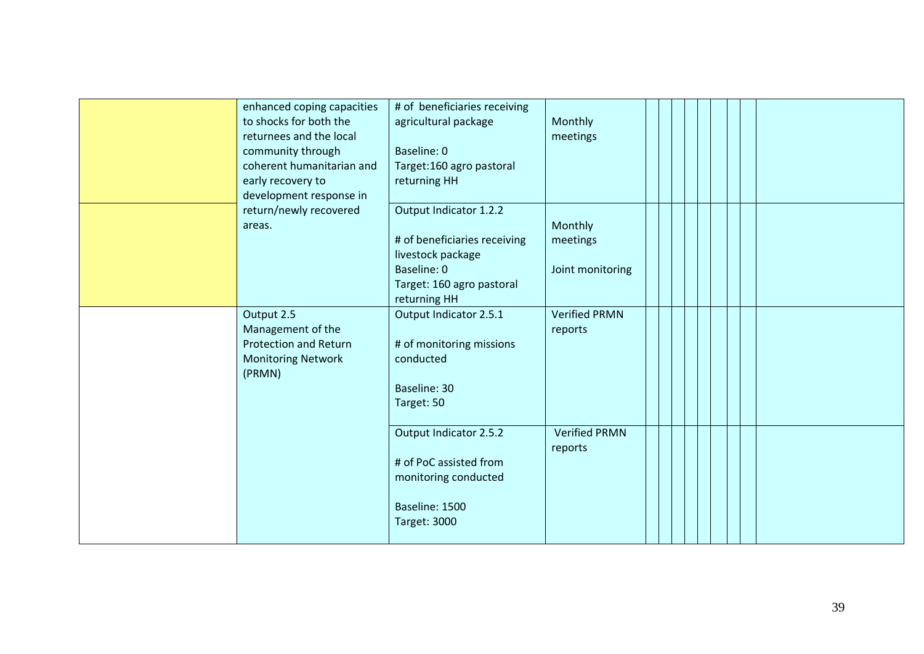| enhanced coping capacities<br>to shocks for both the<br>returnees and the local<br>community through<br>coherent humanitarian and<br>early recovery to<br>development response in | # of beneficiaries receiving<br>agricultural package<br>Baseline: 0<br>Target:160 agro pastoral<br>returning HH                         | Monthly<br>meetings                     |  |  |  |
|-----------------------------------------------------------------------------------------------------------------------------------------------------------------------------------|-----------------------------------------------------------------------------------------------------------------------------------------|-----------------------------------------|--|--|--|
| return/newly recovered<br>areas.                                                                                                                                                  | Output Indicator 1.2.2<br># of beneficiaries receiving<br>livestock package<br>Baseline: 0<br>Target: 160 agro pastoral<br>returning HH | Monthly<br>meetings<br>Joint monitoring |  |  |  |
| Output 2.5<br>Management of the<br><b>Protection and Return</b><br><b>Monitoring Network</b><br>(PRMN)                                                                            | Output Indicator 2.5.1<br># of monitoring missions<br>conducted<br>Baseline: 30<br>Target: 50                                           | <b>Verified PRMN</b><br>reports         |  |  |  |
|                                                                                                                                                                                   | Output Indicator 2.5.2<br># of PoC assisted from<br>monitoring conducted<br>Baseline: 1500<br><b>Target: 3000</b>                       | <b>Verified PRMN</b><br>reports         |  |  |  |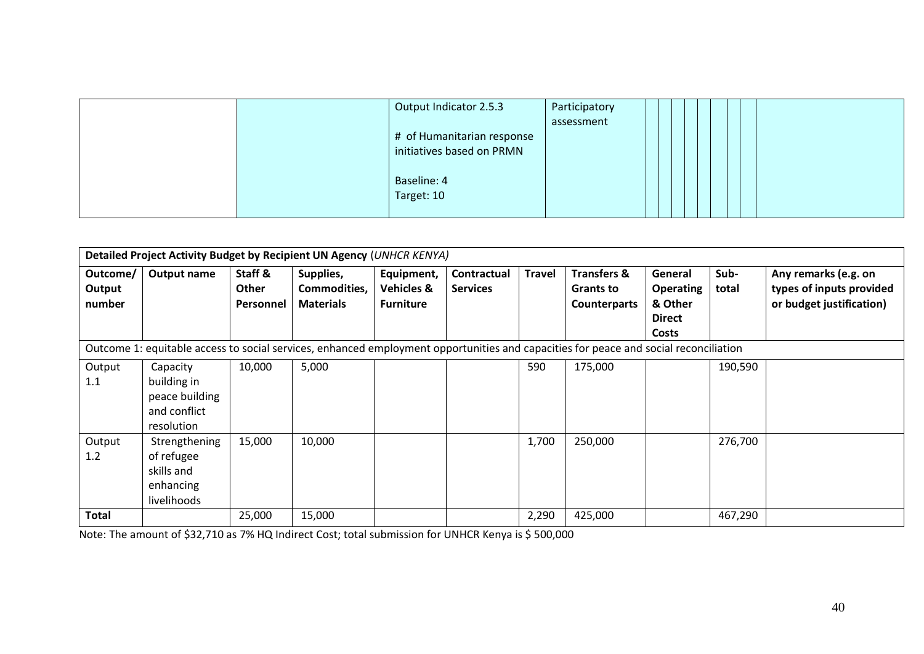|  | Output Indicator 2.5.3     | Participatory |  |  |  |
|--|----------------------------|---------------|--|--|--|
|  |                            | assessment    |  |  |  |
|  | # of Humanitarian response |               |  |  |  |
|  | initiatives based on PRMN  |               |  |  |  |
|  |                            |               |  |  |  |
|  | Baseline: 4                |               |  |  |  |
|  | Target: 10                 |               |  |  |  |
|  |                            |               |  |  |  |

| Detailed Project Activity Budget by Recipient UN Agency (UNHCR KENYA)                                                                |                |              |                  |                       |                 |               |                        |                  |         |                          |
|--------------------------------------------------------------------------------------------------------------------------------------|----------------|--------------|------------------|-----------------------|-----------------|---------------|------------------------|------------------|---------|--------------------------|
|                                                                                                                                      |                |              |                  |                       |                 |               |                        |                  |         |                          |
| Outcome/                                                                                                                             | Output name    | Staff &      | Supplies,        | Equipment,            | Contractual     | <b>Travel</b> | <b>Transfers &amp;</b> | General          | Sub-    | Any remarks (e.g. on     |
| Output                                                                                                                               |                | <b>Other</b> | Commodities,     | <b>Vehicles &amp;</b> | <b>Services</b> |               | <b>Grants to</b>       | <b>Operating</b> | total   | types of inputs provided |
| number                                                                                                                               |                | Personnel    | <b>Materials</b> | <b>Furniture</b>      |                 |               | <b>Counterparts</b>    | & Other          |         | or budget justification) |
|                                                                                                                                      |                |              |                  |                       |                 |               |                        | <b>Direct</b>    |         |                          |
|                                                                                                                                      |                |              |                  |                       |                 |               |                        |                  |         |                          |
|                                                                                                                                      |                |              |                  |                       |                 |               |                        | Costs            |         |                          |
| Outcome 1: equitable access to social services, enhanced employment opportunities and capacities for peace and social reconciliation |                |              |                  |                       |                 |               |                        |                  |         |                          |
| Output                                                                                                                               | Capacity       | 10,000       | 5,000            |                       |                 | 590           | 175,000                |                  | 190,590 |                          |
| 1.1                                                                                                                                  | building in    |              |                  |                       |                 |               |                        |                  |         |                          |
|                                                                                                                                      | peace building |              |                  |                       |                 |               |                        |                  |         |                          |
|                                                                                                                                      | and conflict   |              |                  |                       |                 |               |                        |                  |         |                          |
|                                                                                                                                      | resolution     |              |                  |                       |                 |               |                        |                  |         |                          |
| Output                                                                                                                               | Strengthening  | 15,000       | 10,000           |                       |                 | 1,700         | 250,000                |                  | 276,700 |                          |
| 1.2                                                                                                                                  | of refugee     |              |                  |                       |                 |               |                        |                  |         |                          |
|                                                                                                                                      | skills and     |              |                  |                       |                 |               |                        |                  |         |                          |
|                                                                                                                                      | enhancing      |              |                  |                       |                 |               |                        |                  |         |                          |
|                                                                                                                                      | livelihoods    |              |                  |                       |                 |               |                        |                  |         |                          |
| <b>Total</b>                                                                                                                         |                | 25,000       | 15,000           |                       |                 | 2,290         | 425,000                |                  | 467,290 |                          |

Note: The amount of \$32,710 as 7% HQ Indirect Cost; total submission for UNHCR Kenya is \$ 500,000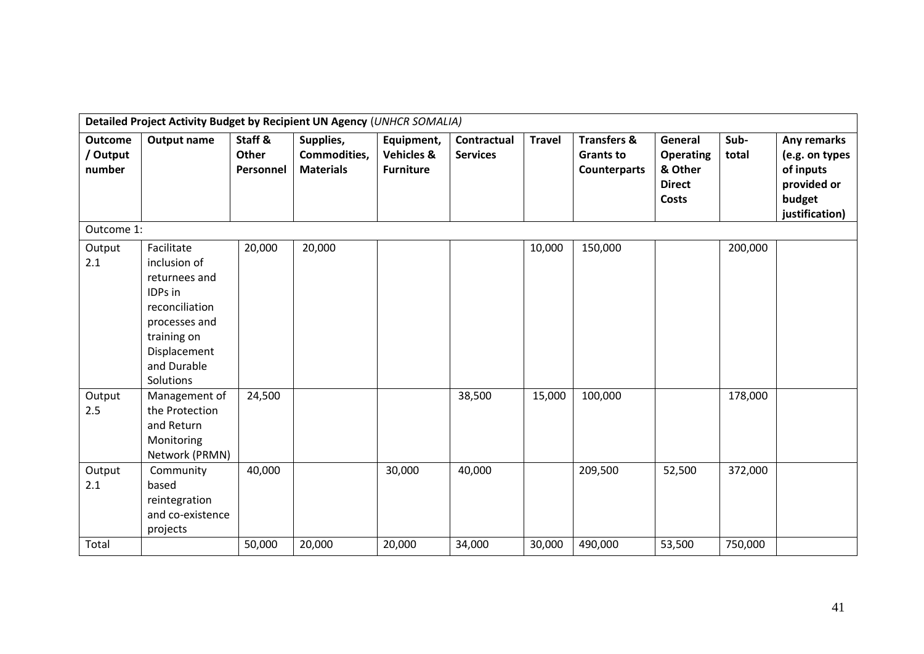|                                      | Detailed Project Activity Budget by Recipient UN Agency (UNHCR SOMALIA)                                                                              |                                      |                                               |                                                         |                                |               |                                                                   |                                                                         |               |                                                                                       |
|--------------------------------------|------------------------------------------------------------------------------------------------------------------------------------------------------|--------------------------------------|-----------------------------------------------|---------------------------------------------------------|--------------------------------|---------------|-------------------------------------------------------------------|-------------------------------------------------------------------------|---------------|---------------------------------------------------------------------------------------|
| <b>Outcome</b><br>/ Output<br>number | <b>Output name</b>                                                                                                                                   | Staff &<br><b>Other</b><br>Personnel | Supplies,<br>Commodities,<br><b>Materials</b> | Equipment,<br><b>Vehicles &amp;</b><br><b>Furniture</b> | Contractual<br><b>Services</b> | <b>Travel</b> | <b>Transfers &amp;</b><br><b>Grants to</b><br><b>Counterparts</b> | General<br><b>Operating</b><br>& Other<br><b>Direct</b><br><b>Costs</b> | Sub-<br>total | Any remarks<br>(e.g. on types<br>of inputs<br>provided or<br>budget<br>justification) |
| Outcome 1:                           |                                                                                                                                                      |                                      |                                               |                                                         |                                |               |                                                                   |                                                                         |               |                                                                                       |
| Output<br>2.1                        | Facilitate<br>inclusion of<br>returnees and<br>IDPs in<br>reconciliation<br>processes and<br>training on<br>Displacement<br>and Durable<br>Solutions | 20,000                               | 20,000                                        |                                                         |                                | 10,000        | 150,000                                                           |                                                                         | 200,000       |                                                                                       |
| Output<br>2.5                        | Management of<br>the Protection<br>and Return<br>Monitoring<br>Network (PRMN)                                                                        | 24,500                               |                                               |                                                         | 38,500                         | 15,000        | 100,000                                                           |                                                                         | 178,000       |                                                                                       |
| Output<br>2.1                        | Community<br>based<br>reintegration<br>and co-existence<br>projects                                                                                  | 40,000                               |                                               | 30,000                                                  | 40,000                         |               | 209,500                                                           | 52,500                                                                  | 372,000       |                                                                                       |
| Total                                |                                                                                                                                                      | 50,000                               | 20,000                                        | 20,000                                                  | 34,000                         | 30,000        | 490,000                                                           | 53,500                                                                  | 750,000       |                                                                                       |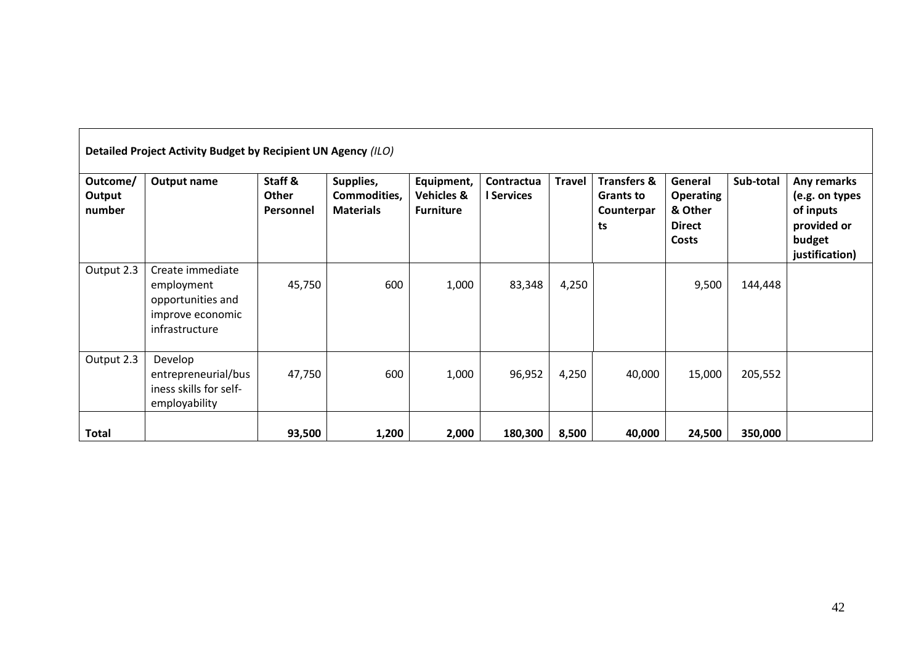|                              | Detailed Project Activity Budget by Recipient UN Agency (ILO)                             |                                      |                                               |                                                         |                          |               |                                                                |                                                                         |           |                                                                                       |  |  |
|------------------------------|-------------------------------------------------------------------------------------------|--------------------------------------|-----------------------------------------------|---------------------------------------------------------|--------------------------|---------------|----------------------------------------------------------------|-------------------------------------------------------------------------|-----------|---------------------------------------------------------------------------------------|--|--|
| Outcome/<br>Output<br>number | <b>Output name</b>                                                                        | Staff &<br><b>Other</b><br>Personnel | Supplies,<br>Commodities,<br><b>Materials</b> | Equipment,<br><b>Vehicles &amp;</b><br><b>Furniture</b> | Contractua<br>I Services | <b>Travel</b> | <b>Transfers &amp;</b><br><b>Grants to</b><br>Counterpar<br>ts | General<br><b>Operating</b><br>& Other<br><b>Direct</b><br><b>Costs</b> | Sub-total | Any remarks<br>(e.g. on types<br>of inputs<br>provided or<br>budget<br>justification) |  |  |
| Output 2.3                   | Create immediate<br>employment<br>opportunities and<br>improve economic<br>infrastructure | 45,750                               | 600                                           | 1,000                                                   | 83,348                   | 4,250         |                                                                | 9,500                                                                   | 144,448   |                                                                                       |  |  |
| Output 2.3                   | Develop<br>entrepreneurial/bus<br>iness skills for self-<br>employability                 | 47,750                               | 600                                           | 1,000                                                   | 96,952                   | 4,250         | 40,000                                                         | 15,000                                                                  | 205,552   |                                                                                       |  |  |
| <b>Total</b>                 |                                                                                           | 93,500                               | 1,200                                         | 2,000                                                   | 180,300                  | 8,500         | 40,000                                                         | 24,500                                                                  | 350,000   |                                                                                       |  |  |

ᄀ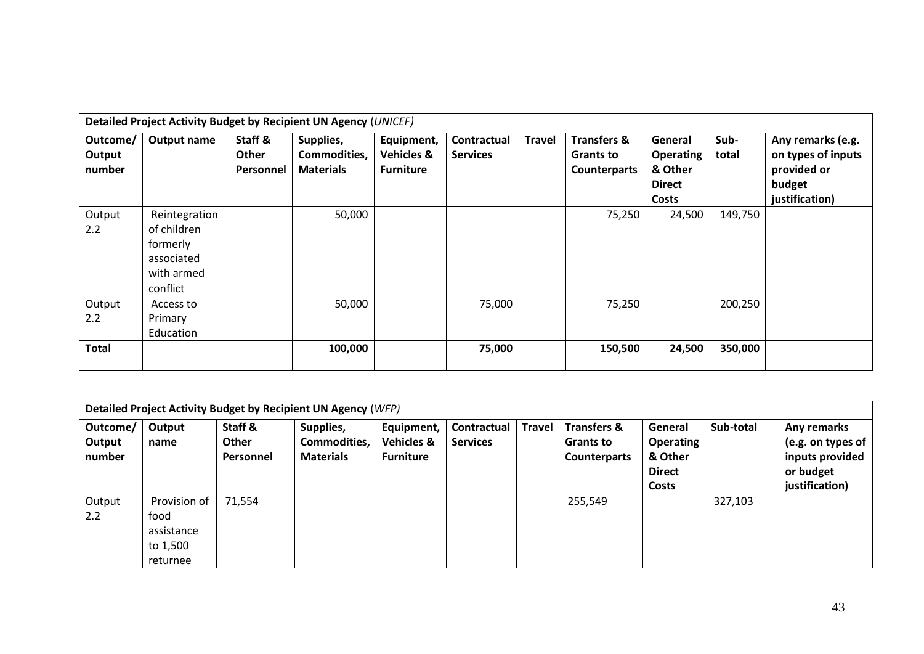|                              | Detailed Project Activity Budget by Recipient UN Agency (UNICEF)                 |                               |                                               |                                                         |                                |               |                                                                   |                                                                  |               |                                                                                    |
|------------------------------|----------------------------------------------------------------------------------|-------------------------------|-----------------------------------------------|---------------------------------------------------------|--------------------------------|---------------|-------------------------------------------------------------------|------------------------------------------------------------------|---------------|------------------------------------------------------------------------------------|
| Outcome/<br>Output<br>number | Output name                                                                      | Staff &<br>Other<br>Personnel | Supplies,<br>Commodities,<br><b>Materials</b> | Equipment,<br><b>Vehicles &amp;</b><br><b>Furniture</b> | Contractual<br><b>Services</b> | <b>Travel</b> | <b>Transfers &amp;</b><br><b>Grants to</b><br><b>Counterparts</b> | General<br><b>Operating</b><br>& Other<br><b>Direct</b><br>Costs | Sub-<br>total | Any remarks (e.g.<br>on types of inputs<br>provided or<br>budget<br>justification) |
| Output<br>2.2                | Reintegration<br>of children<br>formerly<br>associated<br>with armed<br>conflict |                               | 50,000                                        |                                                         |                                |               | 75,250                                                            | 24,500                                                           | 149,750       |                                                                                    |
| Output<br>2.2                | Access to<br>Primary<br>Education                                                |                               | 50,000                                        |                                                         | 75,000                         |               | 75,250                                                            |                                                                  | 200,250       |                                                                                    |
| <b>Total</b>                 |                                                                                  |                               | 100,000                                       |                                                         | 75,000                         |               | 150,500                                                           | 24,500                                                           | 350,000       |                                                                                    |

|                              | Detailed Project Activity Budget by Recipient UN Agency (WFP) |                                      |                                               |                                                         |                                |               |                                                                   |                                                                         |           |                                                                                    |  |
|------------------------------|---------------------------------------------------------------|--------------------------------------|-----------------------------------------------|---------------------------------------------------------|--------------------------------|---------------|-------------------------------------------------------------------|-------------------------------------------------------------------------|-----------|------------------------------------------------------------------------------------|--|
| Outcome/<br>Output<br>number | Output<br>name                                                | Staff &<br><b>Other</b><br>Personnel | Supplies,<br>Commodities,<br><b>Materials</b> | Equipment,<br><b>Vehicles &amp;</b><br><b>Furniture</b> | Contractual<br><b>Services</b> | <b>Travel</b> | <b>Transfers &amp;</b><br><b>Grants to</b><br><b>Counterparts</b> | General<br><b>Operating</b><br>& Other<br><b>Direct</b><br><b>Costs</b> | Sub-total | Any remarks<br>(e.g. on types of<br>inputs provided<br>or budget<br>justification) |  |
| Output<br>2.2                | Provision of<br>food<br>assistance<br>to 1,500<br>returnee    | 71,554                               |                                               |                                                         |                                |               | 255,549                                                           |                                                                         | 327,103   |                                                                                    |  |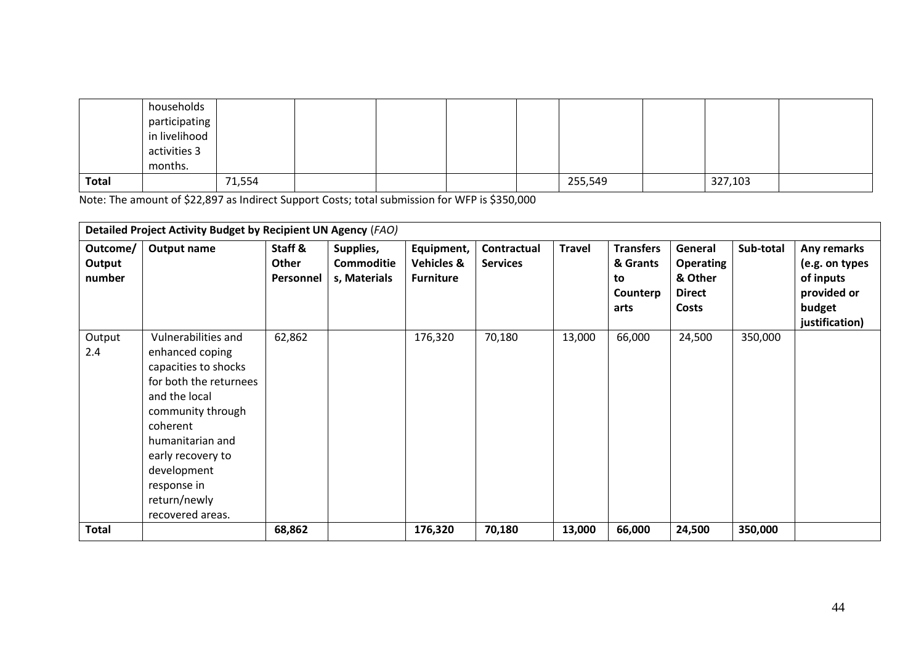|              | households<br>participating              |        |  |  |         |         |  |
|--------------|------------------------------------------|--------|--|--|---------|---------|--|
|              | in livelihood<br>activities 3<br>months. |        |  |  |         |         |  |
| <b>Total</b> |                                          | 71,554 |  |  | 255,549 | 327,103 |  |

Note: The amount of \$22,897 as Indirect Support Costs; total submission for WFP is \$350,000

|                              | Detailed Project Activity Budget by Recipient UN Agency (FAO)                                                                                                                                                                                         |                               |                                                |                                                         |                                |               |                                                        |                                                           |           |                                                                                       |
|------------------------------|-------------------------------------------------------------------------------------------------------------------------------------------------------------------------------------------------------------------------------------------------------|-------------------------------|------------------------------------------------|---------------------------------------------------------|--------------------------------|---------------|--------------------------------------------------------|-----------------------------------------------------------|-----------|---------------------------------------------------------------------------------------|
| Outcome/<br>Output<br>number | <b>Output name</b>                                                                                                                                                                                                                                    | Staff &<br>Other<br>Personnel | Supplies,<br><b>Commoditie</b><br>s, Materials | Equipment,<br><b>Vehicles &amp;</b><br><b>Furniture</b> | Contractual<br><b>Services</b> | <b>Travel</b> | <b>Transfers</b><br>& Grants<br>to<br>Counterp<br>arts | General<br>Operating<br>& Other<br><b>Direct</b><br>Costs | Sub-total | Any remarks<br>(e.g. on types<br>of inputs<br>provided or<br>budget<br>justification) |
| Output<br>2.4                | Vulnerabilities and<br>enhanced coping<br>capacities to shocks<br>for both the returnees<br>and the local<br>community through<br>coherent<br>humanitarian and<br>early recovery to<br>development<br>response in<br>return/newly<br>recovered areas. | 62,862                        |                                                | 176,320                                                 | 70,180                         | 13,000        | 66,000                                                 | 24,500                                                    | 350,000   |                                                                                       |
| <b>Total</b>                 |                                                                                                                                                                                                                                                       | 68,862                        |                                                | 176,320                                                 | 70,180                         | 13,000        | 66,000                                                 | 24,500                                                    | 350,000   |                                                                                       |